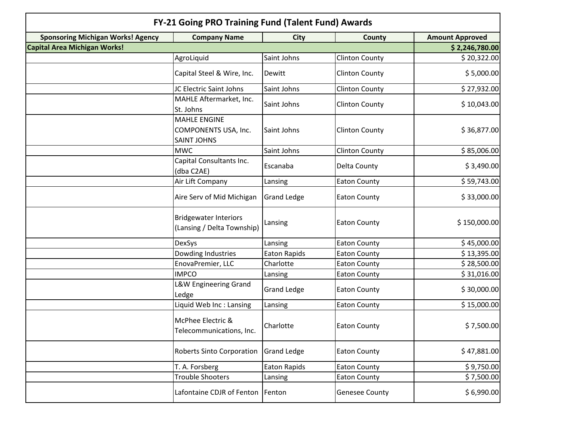| FY-21 Going PRO Training Fund (Talent Fund) Awards |                                                                   |                     |                       |                        |
|----------------------------------------------------|-------------------------------------------------------------------|---------------------|-----------------------|------------------------|
| <b>Sponsoring Michigan Works! Agency</b>           | <b>Company Name</b>                                               | <b>City</b>         | County                | <b>Amount Approved</b> |
| <b>Capital Area Michigan Works!</b>                |                                                                   |                     |                       | \$2,246,780.00         |
|                                                    | AgroLiquid                                                        | Saint Johns         | <b>Clinton County</b> | \$20,322.00            |
|                                                    | Capital Steel & Wire, Inc.                                        | Dewitt              | <b>Clinton County</b> | \$5,000.00             |
|                                                    | JC Electric Saint Johns                                           | Saint Johns         | <b>Clinton County</b> | \$27,932.00            |
|                                                    | MAHLE Aftermarket, Inc.<br>St. Johns                              | Saint Johns         | <b>Clinton County</b> | \$10,043.00            |
|                                                    | <b>MAHLE ENGINE</b><br>COMPONENTS USA, Inc.<br><b>SAINT JOHNS</b> | Saint Johns         | <b>Clinton County</b> | \$36,877.00            |
|                                                    | <b>MWC</b>                                                        | Saint Johns         | <b>Clinton County</b> | \$85,006.00            |
|                                                    | Capital Consultants Inc.<br>(dba C2AE)                            | Escanaba            | Delta County          | \$3,490.00             |
|                                                    | Air Lift Company                                                  | Lansing             | <b>Eaton County</b>   | \$59,743.00            |
|                                                    | Aire Serv of Mid Michigan                                         | <b>Grand Ledge</b>  | <b>Eaton County</b>   | \$33,000.00            |
|                                                    | <b>Bridgewater Interiors</b><br>(Lansing / Delta Township)        | Lansing             | <b>Eaton County</b>   | \$150,000.00           |
|                                                    | <b>DexSys</b>                                                     | Lansing             | <b>Eaton County</b>   | \$45,000.00            |
|                                                    | Dowding Industries                                                | <b>Eaton Rapids</b> | <b>Eaton County</b>   | \$13,395.00            |
|                                                    | EnovaPremier, LLC                                                 | Charlotte           | <b>Eaton County</b>   | \$28,500.00            |
|                                                    | <b>IMPCO</b>                                                      | Lansing             | <b>Eaton County</b>   | \$31,016.00            |
|                                                    | L&W Engineering Grand<br>Ledge                                    | <b>Grand Ledge</b>  | <b>Eaton County</b>   | \$30,000.00            |
|                                                    | Liquid Web Inc: Lansing                                           | Lansing             | <b>Eaton County</b>   | \$15,000.00            |
|                                                    | McPhee Electric &<br>Telecommunications, Inc.                     | Charlotte           | <b>Eaton County</b>   | \$7,500.00             |
|                                                    | Roberts Sinto Corporation                                         | <b>Grand Ledge</b>  | <b>Eaton County</b>   | \$47,881.00            |
|                                                    | T. A. Forsberg                                                    | Eaton Rapids        | <b>Eaton County</b>   | \$9,750.00             |
|                                                    | <b>Trouble Shooters</b>                                           | Lansing             | <b>Eaton County</b>   | \$7,500.00             |
|                                                    | Lafontaine CDJR of Fenton                                         | Fenton              | <b>Genesee County</b> | \$6,990.00             |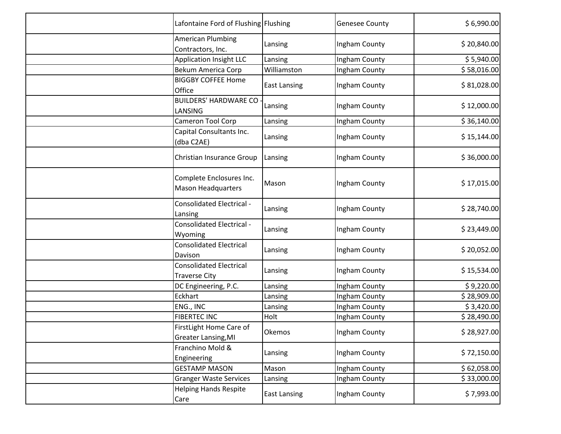| Lafontaine Ford of Flushing Flushing                   |                     | <b>Genesee County</b> | \$6,990.00  |
|--------------------------------------------------------|---------------------|-----------------------|-------------|
| American Plumbing<br>Contractors, Inc.                 | Lansing             | Ingham County         | \$20,840.00 |
| <b>Application Insight LLC</b>                         | Lansing             | Ingham County         | \$5,940.00  |
| <b>Bekum America Corp</b>                              | Williamston         | Ingham County         | \$58,016.00 |
| <b>BIGGBY COFFEE Home</b><br>Office                    | <b>East Lansing</b> | Ingham County         | \$81,028.00 |
| <b>BUILDERS' HARDWARE CO</b><br>LANSING                | Lansing             | Ingham County         | \$12,000.00 |
| Cameron Tool Corp                                      | Lansing             | Ingham County         | \$36,140.00 |
| Capital Consultants Inc.<br>(dba C2AE)                 | Lansing             | Ingham County         | \$15,144.00 |
| Christian Insurance Group                              | Lansing             | Ingham County         | \$36,000.00 |
| Complete Enclosures Inc.<br><b>Mason Headquarters</b>  | Mason               | Ingham County         | \$17,015.00 |
| <b>Consolidated Electrical -</b><br>Lansing            | Lansing             | Ingham County         | \$28,740.00 |
| <b>Consolidated Electrical -</b><br>Wyoming            | Lansing             | Ingham County         | \$23,449.00 |
| <b>Consolidated Electrical</b><br>Davison              | Lansing             | Ingham County         | \$20,052.00 |
| <b>Consolidated Electrical</b><br><b>Traverse City</b> | Lansing             | Ingham County         | \$15,534.00 |
| DC Engineering, P.C.                                   | Lansing             | Ingham County         | \$9,220.00  |
| Eckhart                                                | Lansing             | Ingham County         | \$28,909.00 |
| ENG., INC                                              | Lansing             | Ingham County         | \$3,420.00  |
| <b>FIBERTEC INC</b>                                    | Holt                | Ingham County         | \$28,490.00 |
| FirstLight Home Care of<br><b>Greater Lansing, MI</b>  | Okemos              | Ingham County         | \$28,927.00 |
| Franchino Mold &<br>Engineering                        | Lansing             | Ingham County         | \$72,150.00 |
| <b>GESTAMP MASON</b>                                   | Mason               | Ingham County         | \$62,058.00 |
| <b>Granger Waste Services</b>                          | Lansing             | Ingham County         | \$33,000.00 |
| <b>Helping Hands Respite</b><br>Care                   | <b>East Lansing</b> | Ingham County         | \$7,993.00  |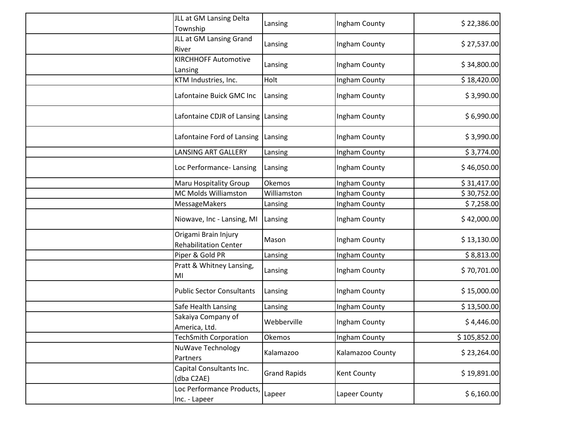| JLL at GM Lansing Delta<br>Township                  | Lansing             | Ingham County      | \$22,386.00  |
|------------------------------------------------------|---------------------|--------------------|--------------|
| JLL at GM Lansing Grand<br>River                     | Lansing             | Ingham County      | \$27,537.00  |
| <b>KIRCHHOFF Automotive</b><br>Lansing               | Lansing             | Ingham County      | \$34,800.00  |
| KTM Industries, Inc.                                 | Holt                | Ingham County      | \$18,420.00  |
| Lafontaine Buick GMC Inc                             | Lansing             | Ingham County      | \$3,990.00   |
| Lafontaine CDJR of Lansing Lansing                   |                     | Ingham County      | \$6,990.00   |
| Lafontaine Ford of Lansing Lansing                   |                     | Ingham County      | \$3,990.00   |
| <b>LANSING ART GALLERY</b>                           | Lansing             | Ingham County      | \$3,774.00   |
| Loc Performance-Lansing                              | Lansing             | Ingham County      | \$46,050.00  |
| Maru Hospitality Group                               | Okemos              | Ingham County      | \$31,417.00  |
| <b>MC Molds Williamston</b>                          | Williamston         | Ingham County      | \$30,752.00  |
| MessageMakers                                        | Lansing             | Ingham County      | \$7,258.00   |
| Niowave, Inc - Lansing, MI                           | Lansing             | Ingham County      | \$42,000.00  |
| Origami Brain Injury<br><b>Rehabilitation Center</b> | Mason               | Ingham County      | \$13,130.00  |
| Piper & Gold PR                                      | Lansing             | Ingham County      | \$8,813.00   |
| Pratt & Whitney Lansing,<br>MI                       | Lansing             | Ingham County      | \$70,701.00  |
| <b>Public Sector Consultants</b>                     | Lansing             | Ingham County      | \$15,000.00  |
| Safe Health Lansing                                  | Lansing             | Ingham County      | \$13,500.00  |
| Sakaiya Company of<br>America, Ltd.                  | Webberville         | Ingham County      | \$4,446.00   |
| <b>TechSmith Corporation</b>                         | Okemos              | Ingham County      | \$105,852.00 |
| NuWave Technology<br>Partners                        | Kalamazoo           | Kalamazoo County   | \$23,264.00  |
| Capital Consultants Inc.<br>(dba C2AE)               | <b>Grand Rapids</b> | <b>Kent County</b> | \$19,891.00  |
| Loc Performance Products,<br>Inc. - Lapeer           | Lapeer              | Lapeer County      | \$6,160.00   |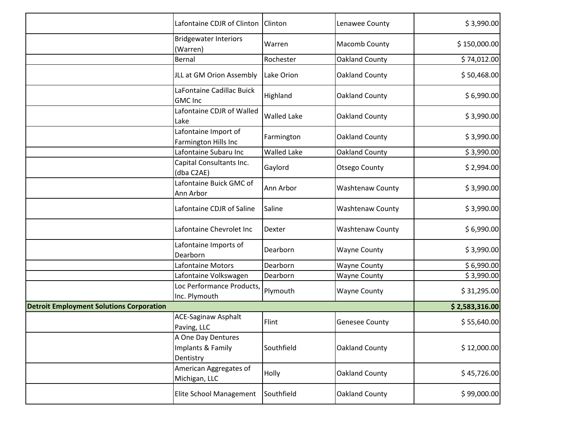|                                                 | Lafontaine CDJR of Clinton                           | Clinton            | Lenawee County          | \$3,990.00     |
|-------------------------------------------------|------------------------------------------------------|--------------------|-------------------------|----------------|
|                                                 | <b>Bridgewater Interiors</b><br>(Warren)             | Warren             | Macomb County           | \$150,000.00   |
|                                                 | <b>Bernal</b>                                        | Rochester          | <b>Oakland County</b>   | \$74,012.00    |
|                                                 | JLL at GM Orion Assembly                             | Lake Orion         | <b>Oakland County</b>   | \$50,468.00    |
|                                                 | LaFontaine Cadillac Buick<br><b>GMC</b> Inc          | Highland           | Oakland County          | \$6,990.00     |
|                                                 | Lafontaine CDJR of Walled<br>Lake                    | <b>Walled Lake</b> | Oakland County          | \$3,990.00     |
|                                                 | Lafontaine Import of<br>Farmington Hills Inc         | Farmington         | <b>Oakland County</b>   | \$3,990.00     |
|                                                 | Lafontaine Subaru Inc                                | <b>Walled Lake</b> | <b>Oakland County</b>   | \$3,990.00     |
|                                                 | Capital Consultants Inc.<br>(dba C2AE)               | Gaylord            | Otsego County           | \$2,994.00     |
|                                                 | Lafontaine Buick GMC of<br>Ann Arbor                 | Ann Arbor          | <b>Washtenaw County</b> | \$3,990.00     |
|                                                 | Lafontaine CDJR of Saline                            | Saline             | <b>Washtenaw County</b> | \$3,990.00     |
|                                                 | Lafontaine Chevrolet Inc                             | Dexter             | <b>Washtenaw County</b> | \$6,990.00     |
|                                                 | Lafontaine Imports of<br>Dearborn                    | Dearborn           | <b>Wayne County</b>     | \$3,990.00     |
|                                                 | Lafontaine Motors                                    | Dearborn           | <b>Wayne County</b>     | \$6,990.00     |
|                                                 | Lafontaine Volkswagen                                | Dearborn           | <b>Wayne County</b>     | \$3,990.00     |
|                                                 | Loc Performance Products,<br>Inc. Plymouth           | Plymouth           | <b>Wayne County</b>     | \$31,295.00    |
| <b>Detroit Employment Solutions Corporation</b> |                                                      |                    |                         | \$2,583,316.00 |
|                                                 | <b>ACE-Saginaw Asphalt</b><br>Paving, LLC            | Flint              | <b>Genesee County</b>   | \$55,640.00    |
|                                                 | A One Day Dentures<br>Implants & Family<br>Dentistry | Southfield         | Oakland County          | \$12,000.00    |
|                                                 | American Aggregates of<br>Michigan, LLC              | Holly              | Oakland County          | \$45,726.00    |
|                                                 | Elite School Management                              | Southfield         | Oakland County          | \$99,000.00    |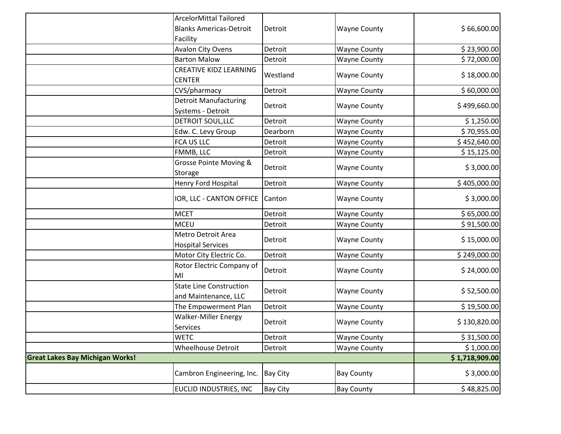|                                        | <b>ArcelorMittal Tailored</b>                          |                 |                     |                |
|----------------------------------------|--------------------------------------------------------|-----------------|---------------------|----------------|
|                                        | <b>Blanks Americas-Detroit</b>                         | Detroit         | <b>Wayne County</b> | \$66,600.00    |
|                                        | Facility                                               |                 |                     |                |
|                                        | <b>Avalon City Ovens</b>                               | Detroit         | <b>Wayne County</b> | \$23,900.00    |
|                                        | <b>Barton Malow</b>                                    | Detroit         | <b>Wayne County</b> | \$72,000.00    |
|                                        | <b>CREATIVE KIDZ LEARNING</b><br><b>CENTER</b>         | Westland        | <b>Wayne County</b> | \$18,000.00    |
|                                        | CVS/pharmacy                                           | Detroit         | <b>Wayne County</b> | \$60,000.00    |
|                                        | <b>Detroit Manufacturing</b><br>Systems - Detroit      | Detroit         | <b>Wayne County</b> | \$499,660.00   |
|                                        | DETROIT SOUL, LLC                                      | Detroit         | <b>Wayne County</b> | \$1,250.00     |
|                                        | Edw. C. Levy Group                                     | Dearborn        | <b>Wayne County</b> | \$70,955.00    |
|                                        | <b>FCA US LLC</b>                                      | Detroit         | <b>Wayne County</b> | \$452,640.00   |
|                                        | FMMB, LLC                                              | Detroit         | <b>Wayne County</b> | \$15,125.00    |
|                                        | Grosse Pointe Moving &<br>Storage                      | Detroit         | <b>Wayne County</b> | \$3,000.00     |
|                                        | Henry Ford Hospital                                    | Detroit         | <b>Wayne County</b> | \$405,000.00   |
|                                        | IOR, LLC - CANTON OFFICE                               | Canton          | <b>Wayne County</b> | \$3,000.00     |
|                                        | <b>MCET</b>                                            | Detroit         | <b>Wayne County</b> | \$65,000.00    |
|                                        | <b>MCEU</b>                                            | Detroit         | <b>Wayne County</b> | \$91,500.00    |
|                                        | Metro Detroit Area<br><b>Hospital Services</b>         | Detroit         | <b>Wayne County</b> | \$15,000.00    |
|                                        | Motor City Electric Co.                                | Detroit         | <b>Wayne County</b> | \$249,000.00   |
|                                        | Rotor Electric Company of<br>MI                        | Detroit         | <b>Wayne County</b> | \$24,000.00    |
|                                        | <b>State Line Construction</b><br>and Maintenance, LLC | Detroit         | <b>Wayne County</b> | \$52,500.00    |
|                                        | The Empowerment Plan                                   | Detroit         | <b>Wayne County</b> | \$19,500.00    |
|                                        | <b>Walker-Miller Energy</b><br><b>Services</b>         | Detroit         | <b>Wayne County</b> | \$130,820.00   |
|                                        | <b>WETC</b>                                            | Detroit         | <b>Wayne County</b> | \$31,500.00    |
|                                        | Wheelhouse Detroit                                     | Detroit         | <b>Wayne County</b> | \$1,000.00     |
| <b>Great Lakes Bay Michigan Works!</b> |                                                        |                 |                     | \$1,718,909.00 |
|                                        | Cambron Engineering, Inc.                              | <b>Bay City</b> | <b>Bay County</b>   | \$3,000.00     |
|                                        | EUCLID INDUSTRIES, INC                                 | <b>Bay City</b> | <b>Bay County</b>   | \$48,825.00    |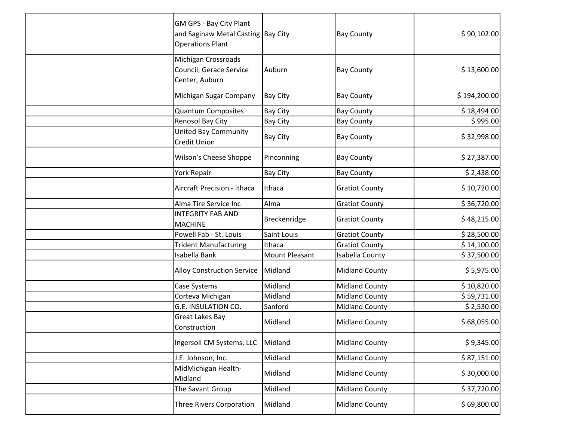| GM GPS - Bay City Plant<br>and Saginaw Metal Casting Bay City<br><b>Operations Plant</b> |                       | <b>Bay County</b>     | \$90,102.00  |
|------------------------------------------------------------------------------------------|-----------------------|-----------------------|--------------|
| Michigan Crossroads<br>Council, Gerace Service<br>Center, Auburn                         | Auburn                | <b>Bay County</b>     | \$13,600.00  |
| Michigan Sugar Company                                                                   | <b>Bay City</b>       | <b>Bay County</b>     | \$194,200.00 |
| <b>Quantum Composites</b>                                                                | <b>Bay City</b>       | <b>Bay County</b>     | \$18,494.00  |
| Renosol Bay City                                                                         | <b>Bay City</b>       | <b>Bay County</b>     | \$995.00     |
| <b>United Bay Community</b><br>Credit Union                                              | <b>Bay City</b>       | <b>Bay County</b>     | \$32,998.00  |
| Wilson's Cheese Shoppe                                                                   | Pinconning            | <b>Bay County</b>     | \$27,387.00  |
| York Repair                                                                              | <b>Bay City</b>       | <b>Bay County</b>     | \$2,438.00   |
| Aircraft Precision - Ithaca                                                              | Ithaca                | <b>Gratiot County</b> | \$10,720.00  |
| Alma Tire Service Inc                                                                    | Alma                  | <b>Gratiot County</b> | \$36,720.00  |
| <b>INTEGRITY FAB AND</b><br><b>MACHINE</b>                                               | Breckenridge          | <b>Gratiot County</b> | \$48,215.00  |
| Powell Fab - St. Louis                                                                   | Saint Louis           | <b>Gratiot County</b> | \$28,500.00  |
| <b>Trident Manufacturing</b>                                                             | Ithaca                | <b>Gratiot County</b> | \$14,100.00  |
| Isabella Bank                                                                            | <b>Mount Pleasant</b> | Isabella County       | \$37,500.00  |
| <b>Alloy Construction Service</b>                                                        | Midland               | <b>Midland County</b> | \$5,975.00   |
| Case Systems                                                                             | Midland               | <b>Midland County</b> | \$10,820.00  |
| Corteva Michigan                                                                         | Midland               | <b>Midland County</b> | \$59,731.00  |
| G.E. INSULATION CO.                                                                      | Sanford               | <b>Midland County</b> | \$2,530.00   |
| <b>Great Lakes Bay</b><br>Construction                                                   | Midland               | <b>Midland County</b> | \$68,055.00  |
| Ingersoll CM Systems, LLC                                                                | Midland               | <b>Midland County</b> | \$9,345.00   |
| J.E. Johnson, Inc.                                                                       | Midland               | <b>Midland County</b> | \$87,151.00  |
| MidMichigan Health-<br>Midland                                                           | Midland               | <b>Midland County</b> | \$30,000.00  |
| The Savant Group                                                                         | Midland               | <b>Midland County</b> | \$37,720.00  |
| <b>Three Rivers Corporation</b>                                                          | Midland               | <b>Midland County</b> | \$69,800.00  |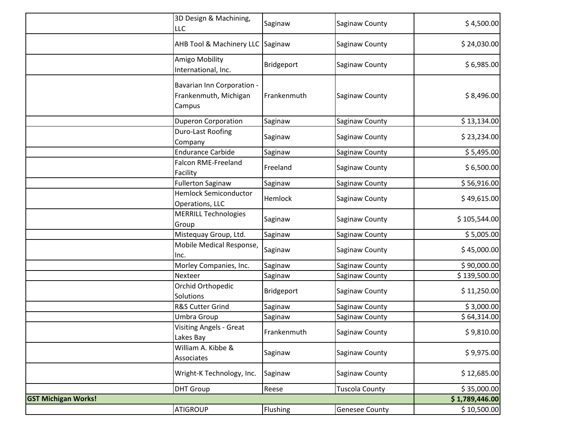| 3D Design & Machining,<br>LLC                                        | Saginaw                          | Saginaw County        | \$4,500.00     |
|----------------------------------------------------------------------|----------------------------------|-----------------------|----------------|
|                                                                      | AHB Tool & Machinery LLC Saginaw | Saginaw County        | \$24,030.00    |
| Amigo Mobility<br>International, Inc.                                | <b>Bridgeport</b>                | Saginaw County        | \$6,985.00     |
| <b>Bavarian Inn Corporation -</b><br>Frankenmuth, Michigan<br>Campus | Frankenmuth                      | Saginaw County        | \$8,496.00     |
| <b>Duperon Corporation</b>                                           | Saginaw                          | Saginaw County        | \$13,134.00    |
| Duro-Last Roofing<br>Company                                         | Saginaw                          | Saginaw County        | \$23,234.00    |
| <b>Endurance Carbide</b>                                             | Saginaw                          | Saginaw County        | \$5,495.00     |
| Falcon RME-Freeland<br>Facility                                      | Freeland                         | Saginaw County        | \$6,500.00     |
| <b>Fullerton Saginaw</b>                                             | Saginaw                          | Saginaw County        | \$56,916.00    |
| <b>Hemlock Semiconductor</b><br>Operations, LLC                      | Hemlock                          | Saginaw County        | \$49,615.00    |
| <b>MERRILL Technologies</b><br>Group                                 | Saginaw                          | Saginaw County        | \$105,544.00   |
| Mistequay Group, Ltd.                                                | Saginaw                          | Saginaw County        | \$5,005.00     |
| Mobile Medical Response,<br>Inc.                                     | Saginaw                          | Saginaw County        | \$45,000.00    |
| Morley Companies, Inc.                                               | Saginaw                          | Saginaw County        | \$90,000.00    |
| Nexteer                                                              | Saginaw                          | Saginaw County        | \$139,500.00   |
| Orchid Orthopedic<br>Solutions                                       | Bridgeport                       | Saginaw County        | \$11,250.00    |
| <b>R&amp;S Cutter Grind</b>                                          | Saginaw                          | Saginaw County        | \$3,000.00     |
| Umbra Group                                                          | Saginaw                          | Saginaw County        | \$64,314.00    |
| <b>Visiting Angels - Great</b><br>Lakes Bay                          | Frankenmuth                      | Saginaw County        | \$9,810.00     |
| William A. Kibbe &<br>Associates                                     | Saginaw                          | Saginaw County        | \$9,975.00     |
| Wright-K Technology, Inc.                                            | Saginaw                          | Saginaw County        | \$12,685.00    |
| <b>DHT Group</b>                                                     | Reese                            | <b>Tuscola County</b> | \$35,000.00    |
| <b>GST Michigan Works!</b>                                           |                                  |                       | \$1,789,446.00 |
| <b>ATIGROUP</b>                                                      | Flushing                         | <b>Genesee County</b> | \$10,500.00    |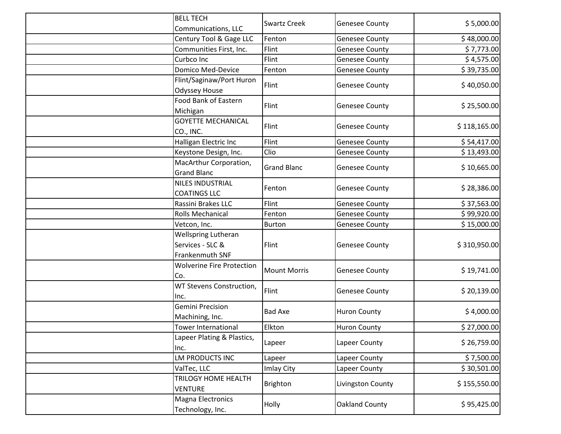| <b>BELL TECH</b>                                           | <b>Swartz Creek</b> | <b>Genesee County</b> | \$5,000.00   |
|------------------------------------------------------------|---------------------|-----------------------|--------------|
| Communications, LLC                                        |                     |                       |              |
| Century Tool & Gage LLC                                    | Fenton              | <b>Genesee County</b> | \$48,000.00  |
| Communities First, Inc.                                    | Flint               | <b>Genesee County</b> | \$7,773.00   |
| Curbco Inc                                                 | Flint               | <b>Genesee County</b> | \$4,575.00   |
| Domico Med-Device                                          | Fenton              | <b>Genesee County</b> | \$39,735.00  |
| Flint/Saginaw/Port Huron<br><b>Odyssey House</b>           | Flint               | <b>Genesee County</b> | \$40,050.00  |
| <b>Food Bank of Eastern</b><br>Michigan                    | Flint               | <b>Genesee County</b> | \$25,500.00  |
| <b>GOYETTE MECHANICAL</b><br>CO., INC.                     | Flint               | <b>Genesee County</b> | \$118,165.00 |
| Halligan Electric Inc                                      | Flint               | <b>Genesee County</b> | \$54,417.00  |
| Keystone Design, Inc.                                      | Clio                | <b>Genesee County</b> | \$13,493.00  |
| MacArthur Corporation,<br><b>Grand Blanc</b>               | <b>Grand Blanc</b>  | <b>Genesee County</b> | \$10,665.00  |
| NILES INDUSTRIAL<br><b>COATINGS LLC</b>                    | Fenton              | <b>Genesee County</b> | \$28,386.00  |
| Rassini Brakes LLC                                         | Flint               | <b>Genesee County</b> | \$37,563.00  |
| <b>Rolls Mechanical</b>                                    | Fenton              | <b>Genesee County</b> | \$99,920.00  |
| Vetcon, Inc.                                               | <b>Burton</b>       | <b>Genesee County</b> | \$15,000.00  |
| Wellspring Lutheran<br>Services - SLC &<br>Frankenmuth SNF | Flint               | <b>Genesee County</b> | \$310,950.00 |
| <b>Wolverine Fire Protection</b><br>Co.                    | <b>Mount Morris</b> | <b>Genesee County</b> | \$19,741.00  |
| WT Stevens Construction,<br>Inc.                           | Flint               | <b>Genesee County</b> | \$20,139.00  |
| <b>Gemini Precision</b><br>Machining, Inc.                 | <b>Bad Axe</b>      | <b>Huron County</b>   | \$4,000.00   |
| <b>Tower International</b>                                 | Elkton              | <b>Huron County</b>   | \$27,000.00  |
| Lapeer Plating & Plastics,<br>Inc.                         | Lapeer              | Lapeer County         | \$26,759.00  |
| LM PRODUCTS INC                                            | Lapeer              | Lapeer County         | \$7,500.00   |
| ValTec, LLC                                                | Imlay City          | Lapeer County         | \$30,501.00  |
| TRILOGY HOME HEALTH<br><b>VENTURE</b>                      | <b>Brighton</b>     | Livingston County     | \$155,550.00 |
| <b>Magna Electronics</b><br>Technology, Inc.               | Holly               | Oakland County        | \$95,425.00  |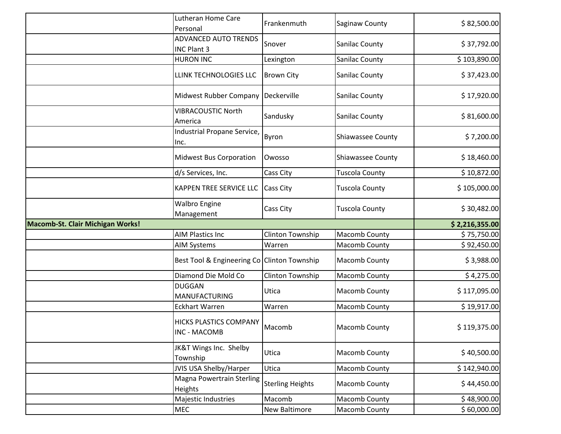|                                  | Lutheran Home Care<br>Personal                       | Frankenmuth             | Saginaw County        | \$82,500.00    |
|----------------------------------|------------------------------------------------------|-------------------------|-----------------------|----------------|
|                                  | ADVANCED AUTO TRENDS<br>INC Plant 3                  | Snover                  | Sanilac County        | \$37,792.00    |
|                                  | <b>HURON INC</b>                                     | Lexington               | Sanilac County        | \$103,890.00   |
|                                  | LLINK TECHNOLOGIES LLC                               | <b>Brown City</b>       | Sanilac County        | \$37,423.00    |
|                                  | Midwest Rubber Company                               | Deckerville             | <b>Sanilac County</b> | \$17,920.00    |
|                                  | <b>VIBRACOUSTIC North</b><br>America                 | Sandusky                | Sanilac County        | \$81,600.00    |
|                                  | Industrial Propane Service,<br>Inc.                  | Byron                   | Shiawassee County     | \$7,200.00     |
|                                  | <b>Midwest Bus Corporation</b>                       | Owosso                  | Shiawassee County     | \$18,460.00    |
|                                  | d/s Services, Inc.                                   | Cass City               | <b>Tuscola County</b> | \$10,872.00    |
|                                  | KAPPEN TREE SERVICE LLC                              | Cass City               | Tuscola County        | \$105,000.00   |
|                                  | <b>Walbro Engine</b><br>Management                   | Cass City               | Tuscola County        | \$30,482.00    |
| Macomb-St. Clair Michigan Works! |                                                      |                         |                       | \$2,216,355.00 |
|                                  | <b>AIM Plastics Inc</b>                              | Clinton Township        | Macomb County         | \$75,750.00    |
|                                  | <b>AIM Systems</b>                                   | Warren                  | Macomb County         | \$92,450.00    |
|                                  | Best Tool & Engineering Co Clinton Township          |                         | Macomb County         | \$3,988.00     |
|                                  | Diamond Die Mold Co                                  | Clinton Township        | Macomb County         | \$4,275.00     |
|                                  | <b>DUGGAN</b><br><b>MANUFACTURING</b>                | Utica                   | Macomb County         | \$117,095.00   |
|                                  | <b>Eckhart Warren</b>                                | Warren                  | Macomb County         | \$19,917.00    |
|                                  | <b>HICKS PLASTICS COMPANY</b><br><b>INC - MACOMB</b> | Macomb                  | <b>Macomb County</b>  | \$119,375.00   |
|                                  | JK&T Wings Inc. Shelby<br>Township                   | Utica                   | Macomb County         | \$40,500.00    |
|                                  | JVIS USA Shelby/Harper                               | Utica                   | Macomb County         | \$142,940.00   |
|                                  | Magna Powertrain Sterling<br>Heights                 | <b>Sterling Heights</b> | Macomb County         | \$44,450.00    |
|                                  | Majestic Industries                                  | Macomb                  | Macomb County         | \$48,900.00    |
|                                  |                                                      |                         |                       |                |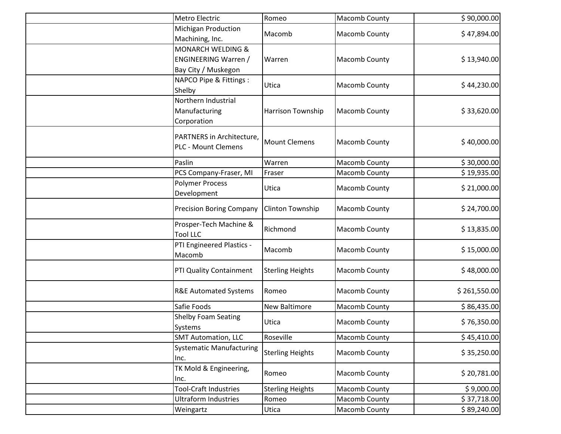|        | Metro Electric                                                                     | Romeo                   | Macomb County | \$90,000.00  |
|--------|------------------------------------------------------------------------------------|-------------------------|---------------|--------------|
|        | <b>Michigan Production</b><br>Machining, Inc.                                      | Macomb                  | Macomb County | \$47,894.00  |
|        | <b>MONARCH WELDING &amp;</b><br><b>ENGINEERING Warren /</b><br>Bay City / Muskegon | Warren                  | Macomb County | \$13,940.00  |
| Shelby | NAPCO Pipe & Fittings :                                                            | Utica                   | Macomb County | \$44,230.00  |
|        | Northern Industrial<br>Manufacturing<br>Corporation                                | Harrison Township       | Macomb County | \$33,620.00  |
|        | PARTNERS in Architecture,<br>PLC - Mount Clemens                                   | <b>Mount Clemens</b>    | Macomb County | \$40,000.00  |
| Paslin |                                                                                    | Warren                  | Macomb County | \$30,000.00  |
|        | PCS Company-Fraser, MI                                                             | Fraser                  | Macomb County | \$19,935.00  |
|        | <b>Polymer Process</b><br>Development                                              | Utica                   | Macomb County | \$21,000.00  |
|        | <b>Precision Boring Company</b>                                                    | Clinton Township        | Macomb County | \$24,700.00  |
|        | Prosper-Tech Machine &<br><b>Tool LLC</b>                                          | Richmond                | Macomb County | \$13,835.00  |
|        | PTI Engineered Plastics -<br>Macomb                                                | Macomb                  | Macomb County | \$15,000.00  |
|        | PTI Quality Containment                                                            | <b>Sterling Heights</b> | Macomb County | \$48,000.00  |
|        | <b>R&amp;E Automated Systems</b>                                                   | Romeo                   | Macomb County | \$261,550.00 |
|        | Safie Foods                                                                        | New Baltimore           | Macomb County | \$86,435.00  |
|        | <b>Shelby Foam Seating</b><br>Systems                                              | Utica                   | Macomb County | \$76,350.00  |
|        | <b>SMT Automation, LLC</b>                                                         | Roseville               | Macomb County | \$45,410.00  |
| Inc.   | <b>Systematic Manufacturing</b>                                                    | <b>Sterling Heights</b> | Macomb County | \$35,250.00  |
| Inc.   | TK Mold & Engineering,                                                             | Romeo                   | Macomb County | \$20,781.00  |
|        | <b>Tool-Craft Industries</b>                                                       | <b>Sterling Heights</b> | Macomb County | \$9,000.00   |
|        | <b>Ultraform Industries</b>                                                        | Romeo                   | Macomb County | \$37,718.00  |
|        | Weingartz                                                                          | Utica                   | Macomb County | \$89,240.00  |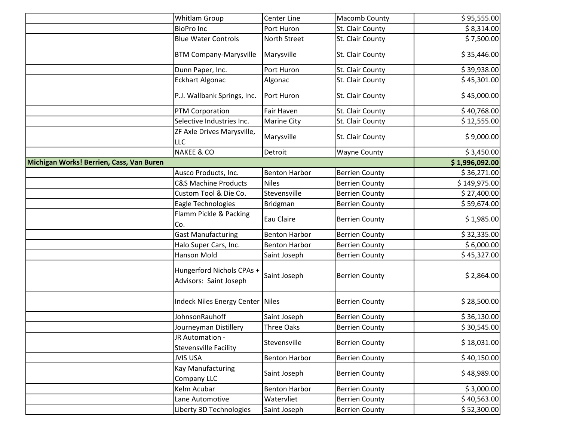|                                          | Whitlam Group                                       | Center Line          | Macomb County         | \$95,555.00    |
|------------------------------------------|-----------------------------------------------------|----------------------|-----------------------|----------------|
|                                          | <b>BioPro Inc</b>                                   | Port Huron           | St. Clair County      | \$8,314.00     |
|                                          | <b>Blue Water Controls</b>                          | North Street         | St. Clair County      | \$7,500.00     |
|                                          | <b>BTM Company-Marysville</b>                       | Marysville           | St. Clair County      | \$35,446.00    |
|                                          | Dunn Paper, Inc.                                    | Port Huron           | St. Clair County      | \$39,938.00    |
|                                          | Eckhart Algonac                                     | Algonac              | St. Clair County      | \$45,301.00    |
|                                          | P.J. Wallbank Springs, Inc.                         | Port Huron           | St. Clair County      | \$45,000.00    |
|                                          | PTM Corporation                                     | <b>Fair Haven</b>    | St. Clair County      | \$40,768.00    |
|                                          | Selective Industries Inc.                           | Marine City          | St. Clair County      | \$12,555.00    |
|                                          | ZF Axle Drives Marysville,<br><b>LLC</b>            | Marysville           | St. Clair County      | \$9,000.00     |
|                                          | <b>NAKEE &amp; CO</b>                               | Detroit              | <b>Wayne County</b>   | \$3,450.00     |
| Michigan Works! Berrien, Cass, Van Buren |                                                     |                      |                       | \$1,996,092.00 |
|                                          | Ausco Products, Inc.                                | <b>Benton Harbor</b> | <b>Berrien County</b> | \$36,271.00    |
|                                          | <b>C&amp;S Machine Products</b>                     | <b>Niles</b>         | <b>Berrien County</b> | \$149,975.00   |
|                                          | Custom Tool & Die Co.                               | Stevensville         | <b>Berrien County</b> | \$27,400.00    |
|                                          | Eagle Technologies                                  | Bridgman             | <b>Berrien County</b> | \$59,674.00    |
|                                          | Flamm Pickle & Packing<br>Co.                       | Eau Claire           | <b>Berrien County</b> | \$1,985.00     |
|                                          | <b>Gast Manufacturing</b>                           | <b>Benton Harbor</b> | <b>Berrien County</b> | \$32,335.00    |
|                                          | Halo Super Cars, Inc.                               | <b>Benton Harbor</b> | <b>Berrien County</b> | \$6,000.00     |
|                                          | Hanson Mold                                         | Saint Joseph         | <b>Berrien County</b> | \$45,327.00    |
|                                          | Hungerford Nichols CPAs +<br>Advisors: Saint Joseph | Saint Joseph         | <b>Berrien County</b> | \$2,864.00     |
|                                          | Indeck Niles Energy Center Niles                    |                      | <b>Berrien County</b> | \$28,500.00    |
|                                          | JohnsonRauhoff                                      | Saint Joseph         | <b>Berrien County</b> | \$36,130.00    |
|                                          | Journeyman Distillery                               | <b>Three Oaks</b>    | <b>Berrien County</b> | \$30,545.00    |
|                                          | JR Automation -<br><b>Stevensville Facility</b>     | Stevensville         | <b>Berrien County</b> | \$18,031.00    |
|                                          | <b>JVIS USA</b>                                     | <b>Benton Harbor</b> | <b>Berrien County</b> | \$40,150.00    |
|                                          | Kay Manufacturing<br>Company LLC                    | Saint Joseph         | <b>Berrien County</b> | \$48,989.00    |
|                                          | Kelm Acubar                                         | <b>Benton Harbor</b> | <b>Berrien County</b> | \$3,000.00     |
|                                          | Lane Automotive                                     | Watervliet           | <b>Berrien County</b> | \$40,563.00    |
|                                          | Liberty 3D Technologies                             | Saint Joseph         | <b>Berrien County</b> | \$52,300.00    |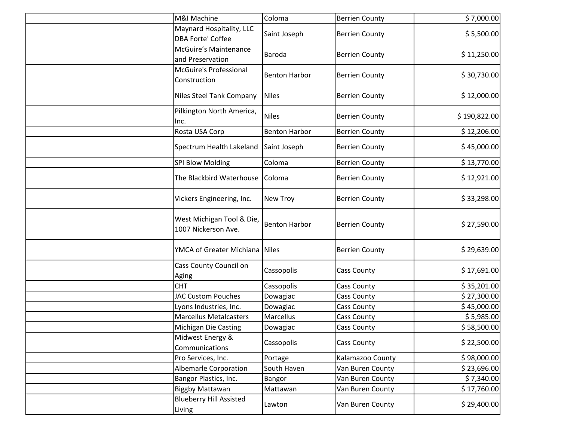| M&I Machine                        |                                                  | Coloma               | <b>Berrien County</b> | \$7,000.00   |
|------------------------------------|--------------------------------------------------|----------------------|-----------------------|--------------|
| <b>DBA Forte' Coffee</b>           | Maynard Hospitality, LLC                         | Saint Joseph         | <b>Berrien County</b> | \$5,500.00   |
| and Preservation                   | <b>McGuire's Maintenance</b>                     | Baroda               | <b>Berrien County</b> | \$11,250.00  |
| Construction                       | McGuire's Professional                           | <b>Benton Harbor</b> | <b>Berrien County</b> | \$30,730.00  |
|                                    | Niles Steel Tank Company                         | <b>Niles</b>         | <b>Berrien County</b> | \$12,000.00  |
| Inc.                               | Pilkington North America,                        | <b>Niles</b>         | <b>Berrien County</b> | \$190,822.00 |
| Rosta USA Corp                     |                                                  | <b>Benton Harbor</b> | <b>Berrien County</b> | \$12,206.00  |
|                                    | Spectrum Health Lakeland                         | Saint Joseph         | <b>Berrien County</b> | \$45,000.00  |
| <b>SPI Blow Molding</b>            |                                                  | Coloma               | <b>Berrien County</b> | \$13,770.00  |
|                                    | The Blackbird Waterhouse                         | Coloma               | <b>Berrien County</b> | \$12,921.00  |
|                                    | Vickers Engineering, Inc.                        | New Troy             | <b>Berrien County</b> | \$33,298.00  |
|                                    | West Michigan Tool & Die,<br>1007 Nickerson Ave. | <b>Benton Harbor</b> | <b>Berrien County</b> | \$27,590.00  |
|                                    | YMCA of Greater Michiana Niles                   |                      | <b>Berrien County</b> | \$29,639.00  |
| Aging                              | Cass County Council on                           | Cassopolis           | Cass County           | \$17,691.00  |
| <b>CHT</b>                         |                                                  | Cassopolis           | <b>Cass County</b>    | \$35,201.00  |
|                                    | <b>JAC Custom Pouches</b>                        | Dowagiac             | Cass County           | \$27,300.00  |
|                                    | Lyons Industries, Inc.                           | Dowagiac             | Cass County           | \$45,000.00  |
|                                    | <b>Marcellus Metalcasters</b>                    | Marcellus            | <b>Cass County</b>    | \$5,985.00   |
|                                    | <b>Michigan Die Casting</b>                      | Dowagiac             | Cass County           | \$58,500.00  |
| Midwest Energy &<br>Communications |                                                  | Cassopolis           | <b>Cass County</b>    | \$22,500.00  |
| Pro Services, Inc.                 |                                                  | Portage              | Kalamazoo County      | \$98,000.00  |
|                                    | <b>Albemarle Corporation</b>                     | South Haven          | Van Buren County      | \$23,696.00  |
| Bangor Plastics, Inc.              |                                                  | Bangor               | Van Buren County      | \$7,340.00   |
| <b>Biggby Mattawan</b>             |                                                  | Mattawan             | Van Buren County      | \$17,760.00  |
| Living                             | <b>Blueberry Hill Assisted</b>                   | Lawton               | Van Buren County      | \$29,400.00  |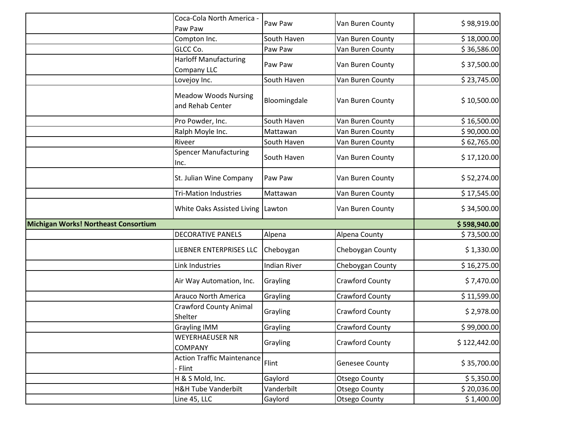|                                      | Coca-Cola North America -<br>Paw Paw            | Paw Paw             | Van Buren County      | \$98,919.00  |
|--------------------------------------|-------------------------------------------------|---------------------|-----------------------|--------------|
|                                      | Compton Inc.                                    | South Haven         | Van Buren County      | \$18,000.00  |
|                                      | GLCC Co.                                        | Paw Paw             | Van Buren County      | \$36,586.00  |
|                                      | <b>Harloff Manufacturing</b><br>Company LLC     | Paw Paw             | Van Buren County      | \$37,500.00  |
|                                      | Lovejoy Inc.                                    | South Haven         | Van Buren County      | \$23,745.00  |
|                                      | <b>Meadow Woods Nursing</b><br>and Rehab Center | Bloomingdale        | Van Buren County      | \$10,500.00  |
|                                      | Pro Powder, Inc.                                | South Haven         | Van Buren County      | \$16,500.00  |
|                                      | Ralph Moyle Inc.                                | Mattawan            | Van Buren County      | \$90,000.00  |
|                                      | Riveer                                          | South Haven         | Van Buren County      | \$62,765.00  |
|                                      | <b>Spencer Manufacturing</b><br>Inc.            | South Haven         | Van Buren County      | \$17,120.00  |
|                                      | St. Julian Wine Company                         | Paw Paw             | Van Buren County      | \$52,274.00  |
|                                      | <b>Tri-Mation Industries</b>                    | Mattawan            | Van Buren County      | \$17,545.00  |
|                                      | White Oaks Assisted Living Lawton               |                     | Van Buren County      | \$34,500.00  |
| Michigan Works! Northeast Consortium |                                                 |                     |                       | \$598,940.00 |
|                                      | <b>DECORATIVE PANELS</b>                        | Alpena              | Alpena County         | \$73,500.00  |
|                                      | LIEBNER ENTERPRISES LLC                         | Cheboygan           | Cheboygan County      | \$1,330.00   |
|                                      | Link Industries                                 | <b>Indian River</b> | Cheboygan County      | \$16,275.00  |
|                                      | Air Way Automation, Inc.                        | Grayling            | Crawford County       | \$7,470.00   |
|                                      | <b>Arauco North America</b>                     | Grayling            | Crawford County       | \$11,599.00  |
|                                      | <b>Crawford County Animal</b><br>Shelter        | Grayling            | Crawford County       | \$2,978.00   |
|                                      | <b>Grayling IMM</b>                             | Grayling            | Crawford County       | \$99,000.00  |
|                                      | <b>WEYERHAEUSER NR</b><br>COMPANY               | Grayling            | Crawford County       | \$122,442.00 |
|                                      | <b>Action Traffic Maintenance</b><br>- Flint    | Flint               | <b>Genesee County</b> | \$35,700.00  |
|                                      | H & S Mold, Inc.                                | Gaylord             | Otsego County         | \$5,350.00   |
|                                      | <b>H&amp;H Tube Vanderbilt</b>                  | Vanderbilt          | <b>Otsego County</b>  | \$20,036.00  |
|                                      | Line 45, LLC                                    | Gaylord             | Otsego County         | \$1,400.00   |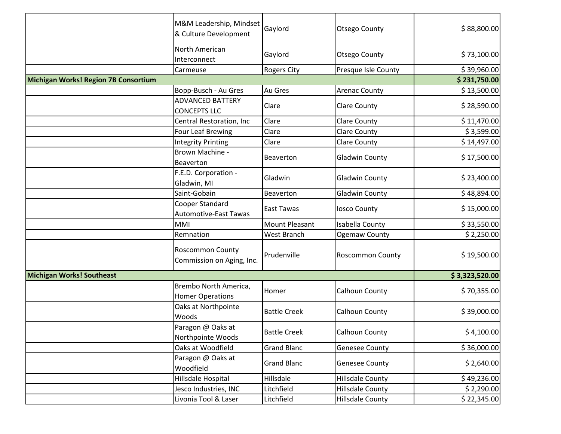|                                      | M&M Leadership, Mindset<br>& Culture Development     | Gaylord               | <b>Otsego County</b>    | \$88,800.00    |
|--------------------------------------|------------------------------------------------------|-----------------------|-------------------------|----------------|
|                                      | North American<br>Interconnect                       | Gaylord               | <b>Otsego County</b>    | \$73,100.00    |
|                                      | Carmeuse                                             | <b>Rogers City</b>    | Presque Isle County     | \$39,960.00    |
| Michigan Works! Region 7B Consortium |                                                      |                       |                         | \$231,750.00   |
|                                      | Bopp-Busch - Au Gres                                 | Au Gres               | <b>Arenac County</b>    | \$13,500.00    |
|                                      | <b>ADVANCED BATTERY</b><br><b>CONCEPTS LLC</b>       | Clare                 | <b>Clare County</b>     | \$28,590.00    |
|                                      | Central Restoration, Inc                             | Clare                 | <b>Clare County</b>     | \$11,470.00    |
|                                      | Four Leaf Brewing                                    | Clare                 | <b>Clare County</b>     | \$3,599.00     |
|                                      | <b>Integrity Printing</b>                            | Clare                 | <b>Clare County</b>     | \$14,497.00    |
|                                      | Brown Machine -<br>Beaverton                         | Beaverton             | <b>Gladwin County</b>   | \$17,500.00    |
|                                      | F.E.D. Corporation -<br>Gladwin, MI                  | Gladwin               | <b>Gladwin County</b>   | \$23,400.00    |
|                                      | Saint-Gobain                                         | Beaverton             | <b>Gladwin County</b>   | \$48,894.00    |
|                                      | Cooper Standard<br><b>Automotive-East Tawas</b>      | East Tawas            | <b>losco County</b>     | \$15,000.00    |
|                                      | MMI                                                  | <b>Mount Pleasant</b> | <b>Isabella County</b>  | \$33,550.00    |
|                                      | Remnation                                            | West Branch           | <b>Ogemaw County</b>    | \$2,250.00     |
|                                      | <b>Roscommon County</b><br>Commission on Aging, Inc. | Prudenville           | <b>Roscommon County</b> | \$19,500.00    |
| <b>Michigan Works! Southeast</b>     |                                                      |                       |                         | \$3,323,520.00 |
|                                      | Brembo North America,<br><b>Homer Operations</b>     | Homer                 | Calhoun County          | \$70,355.00    |
|                                      | Oaks at Northpointe<br>Woods                         | <b>Battle Creek</b>   | Calhoun County          | \$39,000.00    |
|                                      | Paragon @ Oaks at<br>Northpointe Woods               | <b>Battle Creek</b>   | Calhoun County          | \$4,100.00     |
|                                      | Oaks at Woodfield                                    | <b>Grand Blanc</b>    | <b>Genesee County</b>   | \$36,000.00    |
|                                      | Paragon @ Oaks at<br>Woodfield                       | <b>Grand Blanc</b>    | <b>Genesee County</b>   | \$2,640.00     |
|                                      | Hillsdale Hospital                                   | Hillsdale             | <b>Hillsdale County</b> | \$49,236.00    |
|                                      | Jesco Industries, INC                                | Litchfield            | <b>Hillsdale County</b> | \$2,290.00     |
|                                      | Livonia Tool & Laser                                 | Litchfield            | <b>Hillsdale County</b> | \$22,345.00    |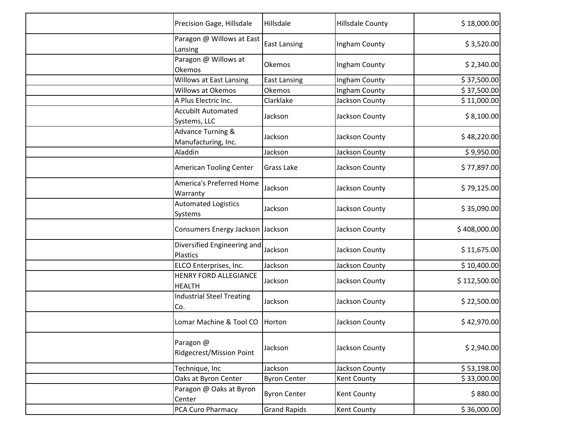| Precision Gage, Hillsdale                           | Hillsdale           | <b>Hillsdale County</b> | \$18,000.00  |
|-----------------------------------------------------|---------------------|-------------------------|--------------|
| Paragon @ Willows at East<br>Lansing                | <b>East Lansing</b> | Ingham County           | \$3,520.00   |
| Paragon @ Willows at<br>Okemos                      | Okemos              | Ingham County           | \$2,340.00   |
| <b>Willows at East Lansing</b>                      | <b>East Lansing</b> | Ingham County           | \$37,500.00  |
| <b>Willows at Okemos</b>                            | Okemos              | Ingham County           | \$37,500.00  |
| A Plus Electric Inc.                                | Clarklake           | Jackson County          | \$11,000.00  |
| <b>Accubilt Automated</b><br>Systems, LLC           | Jackson             | Jackson County          | \$8,100.00   |
| <b>Advance Turning &amp;</b><br>Manufacturing, Inc. | Jackson             | Jackson County          | \$48,220.00  |
| Aladdin                                             | Jackson             | Jackson County          | \$9,950.00   |
| <b>American Tooling Center</b>                      | Grass Lake          | Jackson County          | \$77,897.00  |
| America's Preferred Home<br>Warranty                | Jackson             | Jackson County          | \$79,125.00  |
| <b>Automated Logistics</b><br>Systems               | Jackson             | Jackson County          | \$35,090.00  |
| Consumers Energy Jackson Jackson                    |                     | Jackson County          | \$408,000.00 |
| Diversified Engineering and<br>Plastics             | Jackson             | Jackson County          | \$11,675.00  |
| ELCO Enterprises, Inc.                              | Jackson             | Jackson County          | \$10,400.00  |
| HENRY FORD ALLEGIANCE<br><b>HEALTH</b>              | Jackson             | Jackson County          | \$112,500.00 |
| <b>Industrial Steel Treating</b><br>Co.             | Jackson             | Jackson County          | \$22,500.00  |
| Lomar Machine & Tool CO                             | Horton              | Jackson County          | \$42,970.00  |
| Paragon @<br>Ridgecrest/Mission Point               | Jackson             | Jackson County          | \$2,940.00   |
| Technique, Inc                                      | Jackson             | Jackson County          | \$53,198.00  |
| Oaks at Byron Center                                | <b>Byron Center</b> | Kent County             | \$33,000.00  |
| Paragon @ Oaks at Byron<br>Center                   | <b>Byron Center</b> | Kent County             | \$880.00     |
| PCA Curo Pharmacy                                   | <b>Grand Rapids</b> | Kent County             | \$36,000.00  |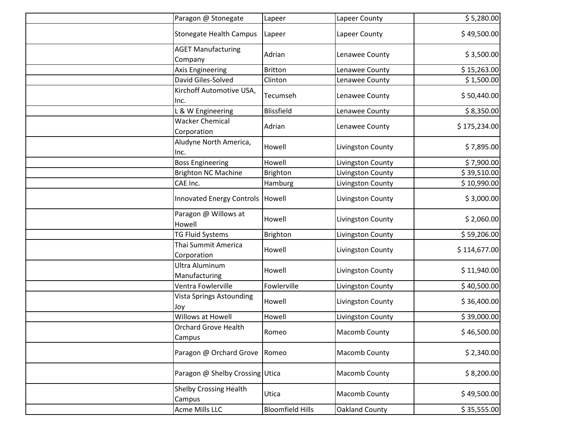| Paragon @ Stonegate                     | Lapeer                  | Lapeer County     | \$5,280.00   |
|-----------------------------------------|-------------------------|-------------------|--------------|
| <b>Stonegate Health Campus</b>          | Lapeer                  | Lapeer County     | \$49,500.00  |
| <b>AGET Manufacturing</b><br>Company    | Adrian                  | Lenawee County    | \$3,500.00   |
| <b>Axis Engineering</b>                 | <b>Britton</b>          | Lenawee County    | \$15,263.00  |
| David Giles-Solved                      | Clinton                 | Lenawee County    | \$1,500.00   |
| Kirchoff Automotive USA,<br>Inc.        | Tecumseh                | Lenawee County    | \$50,440.00  |
| L & W Engineering                       | <b>Blissfield</b>       | Lenawee County    | \$8,350.00   |
| <b>Wacker Chemical</b><br>Corporation   | Adrian                  | Lenawee County    | \$175,234.00 |
| Aludyne North America,<br>Inc.          | Howell                  | Livingston County | \$7,895.00   |
| <b>Boss Engineering</b>                 | Howell                  | Livingston County | \$7,900.00   |
| <b>Brighton NC Machine</b>              | <b>Brighton</b>         | Livingston County | \$39,510.00  |
| CAE Inc.                                | <b>Hamburg</b>          | Livingston County | \$10,990.00  |
| Innovated Energy Controls   Howell      |                         | Livingston County | \$3,000.00   |
| Paragon @ Willows at<br>Howell          | Howell                  | Livingston County | \$2,060.00   |
| <b>TG Fluid Systems</b>                 | Brighton                | Livingston County | \$59,206.00  |
| Thai Summit America<br>Corporation      | Howell                  | Livingston County | \$114,677.00 |
| Ultra Aluminum<br>Manufacturing         | Howell                  | Livingston County | \$11,940.00  |
| Ventra Fowlerville                      | Fowlerville             | Livingston County | \$40,500.00  |
| Vista Springs Astounding<br>Joy         | Howell                  | Livingston County | \$36,400.00  |
| Willows at Howell                       | Howell                  | Livingston County | \$39,000.00  |
| <b>Orchard Grove Health</b><br>Campus   | Romeo                   | Macomb County     | \$46,500.00  |
| Paragon @ Orchard Grove                 | Romeo                   | Macomb County     | \$2,340.00   |
| Paragon @ Shelby Crossing Utica         |                         | Macomb County     | \$8,200.00   |
| <b>Shelby Crossing Health</b><br>Campus | Utica                   | Macomb County     | \$49,500.00  |
| Acme Mills LLC                          | <b>Bloomfield Hills</b> | Oakland County    | \$35,555.00  |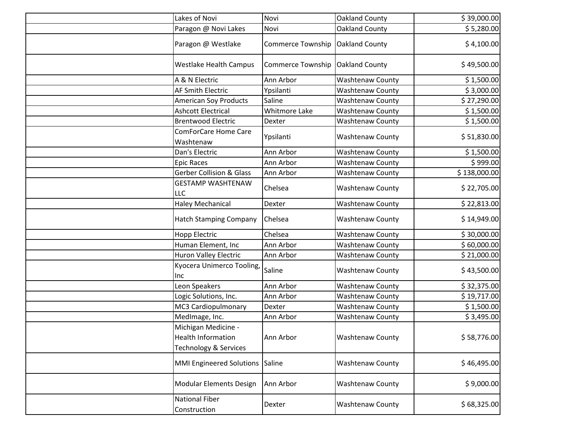| Lakes of Novi                                                                        | Novi                     | <b>Oakland County</b>   | \$39,000.00  |
|--------------------------------------------------------------------------------------|--------------------------|-------------------------|--------------|
| Paragon @ Novi Lakes                                                                 | Novi                     | <b>Oakland County</b>   | \$5,280.00   |
| Paragon @ Westlake                                                                   | <b>Commerce Township</b> | <b>Oakland County</b>   | \$4,100.00   |
| <b>Westlake Health Campus</b>                                                        | <b>Commerce Township</b> | <b>Oakland County</b>   | \$49,500.00  |
| A & N Electric                                                                       | Ann Arbor                | <b>Washtenaw County</b> | \$1,500.00   |
| <b>AF Smith Electric</b>                                                             | Ypsilanti                | <b>Washtenaw County</b> | \$3,000.00   |
| <b>American Soy Products</b>                                                         | Saline                   | <b>Washtenaw County</b> | \$27,290.00  |
| <b>Ashcott Electrical</b>                                                            | <b>Whitmore Lake</b>     | <b>Washtenaw County</b> | \$1,500.00   |
| <b>Brentwood Electric</b>                                                            | Dexter                   | <b>Washtenaw County</b> | \$1,500.00   |
| ComForCare Home Care<br>Washtenaw                                                    | Ypsilanti                | <b>Washtenaw County</b> | \$51,830.00  |
| Dan's Electric                                                                       | Ann Arbor                | <b>Washtenaw County</b> | \$1,500.00   |
| <b>Epic Races</b>                                                                    | Ann Arbor                | <b>Washtenaw County</b> | \$999.00     |
| <b>Gerber Collision &amp; Glass</b>                                                  | Ann Arbor                | Washtenaw County        | \$138,000.00 |
| <b>GESTAMP WASHTENAW</b><br><b>LLC</b>                                               | Chelsea                  | <b>Washtenaw County</b> | \$22,705.00  |
| <b>Haley Mechanical</b>                                                              | Dexter                   | <b>Washtenaw County</b> | \$22,813.00  |
| <b>Hatch Stamping Company</b>                                                        | Chelsea                  | <b>Washtenaw County</b> | \$14,949.00  |
| <b>Hopp Electric</b>                                                                 | Chelsea                  | <b>Washtenaw County</b> | \$30,000.00  |
| Human Element, Inc                                                                   | Ann Arbor                | <b>Washtenaw County</b> | \$60,000.00  |
| <b>Huron Valley Electric</b>                                                         | Ann Arbor                | <b>Washtenaw County</b> | \$21,000.00  |
| Kyocera Unimerco Tooling,<br>Inc                                                     | Saline                   | <b>Washtenaw County</b> | \$43,500.00  |
| Leon Speakers                                                                        | Ann Arbor                | <b>Washtenaw County</b> | \$32,375.00  |
| Logic Solutions, Inc.                                                                | Ann Arbor                | <b>Washtenaw County</b> | \$19,717.00  |
| MC3 Cardiopulmonary                                                                  | Dexter                   | <b>Washtenaw County</b> | \$1,500.00   |
| MedImage, Inc.                                                                       | Ann Arbor                | <b>Washtenaw County</b> | \$3,495.00   |
| Michigan Medicine -<br><b>Health Information</b><br><b>Technology &amp; Services</b> | Ann Arbor                | <b>Washtenaw County</b> | \$58,776.00  |
| <b>MMI Engineered Solutions</b>                                                      | Saline                   | <b>Washtenaw County</b> | \$46,495.00  |
| Modular Elements Design                                                              | Ann Arbor                | <b>Washtenaw County</b> | \$9,000.00   |
| <b>National Fiber</b><br>Construction                                                | Dexter                   | <b>Washtenaw County</b> | \$68,325.00  |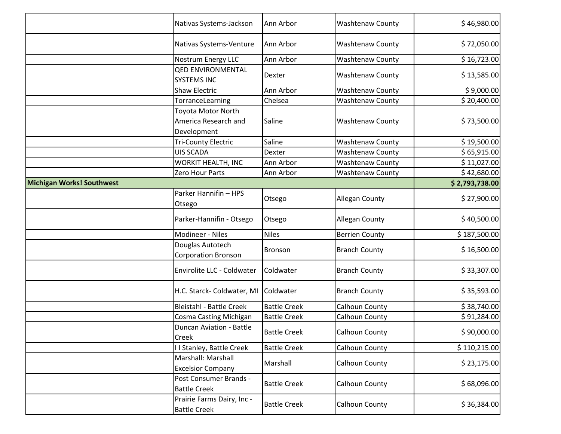|                                  | Nativas Systems-Jackson                                   | Ann Arbor           | <b>Washtenaw County</b> | \$46,980.00    |
|----------------------------------|-----------------------------------------------------------|---------------------|-------------------------|----------------|
|                                  | Nativas Systems-Venture                                   | Ann Arbor           | <b>Washtenaw County</b> | \$72,050.00    |
|                                  | Nostrum Energy LLC                                        | Ann Arbor           | <b>Washtenaw County</b> | \$16,723.00    |
|                                  | <b>QED ENVIRONMENTAL</b><br><b>SYSTEMS INC</b>            | Dexter              | <b>Washtenaw County</b> | \$13,585.00    |
|                                  | <b>Shaw Electric</b>                                      | Ann Arbor           | <b>Washtenaw County</b> | \$9,000.00     |
|                                  | TorranceLearning                                          | Chelsea             | <b>Washtenaw County</b> | \$20,400.00    |
|                                  | Toyota Motor North<br>America Research and<br>Development | Saline              | <b>Washtenaw County</b> | \$73,500.00    |
|                                  | <b>Tri-County Electric</b>                                | Saline              | <b>Washtenaw County</b> | \$19,500.00    |
|                                  | <b>UIS SCADA</b>                                          | Dexter              | <b>Washtenaw County</b> | \$65,915.00    |
|                                  | <b>WORKIT HEALTH, INC</b>                                 | Ann Arbor           | <b>Washtenaw County</b> | \$11,027.00    |
|                                  | Zero Hour Parts                                           | Ann Arbor           | <b>Washtenaw County</b> | \$42,680.00    |
| <b>Michigan Works! Southwest</b> |                                                           |                     |                         | \$2,793,738.00 |
|                                  | Parker Hannifin - HPS<br>Otsego                           | Otsego              | <b>Allegan County</b>   | \$27,900.00    |
|                                  | Parker-Hannifin - Otsego                                  | Otsego              | Allegan County          | \$40,500.00    |
|                                  | Modineer - Niles                                          | <b>Niles</b>        | <b>Berrien County</b>   | \$187,500.00   |
|                                  | Douglas Autotech<br><b>Corporation Bronson</b>            | <b>Bronson</b>      | <b>Branch County</b>    | \$16,500.00    |
|                                  | Envirolite LLC - Coldwater                                | Coldwater           | <b>Branch County</b>    | \$33,307.00    |
|                                  | H.C. Starck- Coldwater, MI                                | Coldwater           | <b>Branch County</b>    | \$35,593.00    |
|                                  | <b>Bleistahl - Battle Creek</b>                           | <b>Battle Creek</b> | Calhoun County          | \$38,740.00    |
|                                  | <b>Cosma Casting Michigan</b>                             | <b>Battle Creek</b> | Calhoun County          | \$91,284.00    |
|                                  | <b>Duncan Aviation - Battle</b><br>Creek                  | <b>Battle Creek</b> | Calhoun County          | \$90,000.00    |
|                                  | I I Stanley, Battle Creek                                 | <b>Battle Creek</b> | Calhoun County          | \$110,215.00   |
|                                  | Marshall: Marshall<br><b>Excelsior Company</b>            | Marshall            | Calhoun County          | \$23,175.00    |
|                                  | Post Consumer Brands -<br><b>Battle Creek</b>             | <b>Battle Creek</b> | <b>Calhoun County</b>   | \$68,096.00    |
|                                  | Prairie Farms Dairy, Inc -<br><b>Battle Creek</b>         | <b>Battle Creek</b> | Calhoun County          | \$36,384.00    |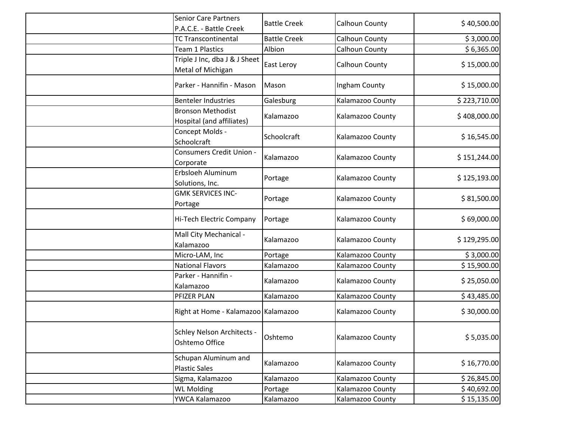| <b>Senior Care Partners</b><br>P.A.C.E. - Battle Creek | <b>Battle Creek</b> | Calhoun County   | \$40,500.00  |
|--------------------------------------------------------|---------------------|------------------|--------------|
| <b>TC Transcontinental</b>                             | <b>Battle Creek</b> | Calhoun County   | \$3,000.00   |
| Team 1 Plastics                                        | Albion              | Calhoun County   | \$6,365.00   |
| Triple J Inc, dba J & J Sheet<br>Metal of Michigan     | East Leroy          | Calhoun County   | \$15,000.00  |
| Parker - Hannifin - Mason                              | Mason               | Ingham County    | \$15,000.00  |
| <b>Benteler Industries</b>                             | Galesburg           | Kalamazoo County | \$223,710.00 |
| <b>Bronson Methodist</b><br>Hospital (and affiliates)  | Kalamazoo           | Kalamazoo County | \$408,000.00 |
| Concept Molds -<br>Schoolcraft                         | Schoolcraft         | Kalamazoo County | \$16,545.00  |
| <b>Consumers Credit Union -</b><br>Corporate           | Kalamazoo           | Kalamazoo County | \$151,244.00 |
| Erbsloeh Aluminum<br>Solutions, Inc.                   | Portage             | Kalamazoo County | \$125,193.00 |
| <b>GMK SERVICES INC-</b><br>Portage                    | Portage             | Kalamazoo County | \$81,500.00  |
| Hi-Tech Electric Company                               | Portage             | Kalamazoo County | \$69,000.00  |
| Mall City Mechanical -<br>Kalamazoo                    | Kalamazoo           | Kalamazoo County | \$129,295.00 |
| Micro-LAM, Inc                                         | Portage             | Kalamazoo County | \$3,000.00   |
| <b>National Flavors</b>                                | Kalamazoo           | Kalamazoo County | \$15,900.00  |
| Parker - Hannifin -<br>Kalamazoo                       | Kalamazoo           | Kalamazoo County | \$25,050.00  |
| PFIZER PLAN                                            | Kalamazoo           | Kalamazoo County | \$43,485.00  |
| Right at Home - Kalamazoo Kalamazoo                    |                     | Kalamazoo County | \$30,000.00  |
| Schley Nelson Architects -<br>Oshtemo Office           | Oshtemo             | Kalamazoo County | \$5,035.00   |
| Schupan Aluminum and<br><b>Plastic Sales</b>           | Kalamazoo           | Kalamazoo County | \$16,770.00  |
| Sigma, Kalamazoo                                       | Kalamazoo           | Kalamazoo County | \$26,845.00  |
| <b>WL Molding</b>                                      | Portage             | Kalamazoo County | \$40,692.00  |
| YWCA Kalamazoo                                         | Kalamazoo           | Kalamazoo County | \$15,135.00  |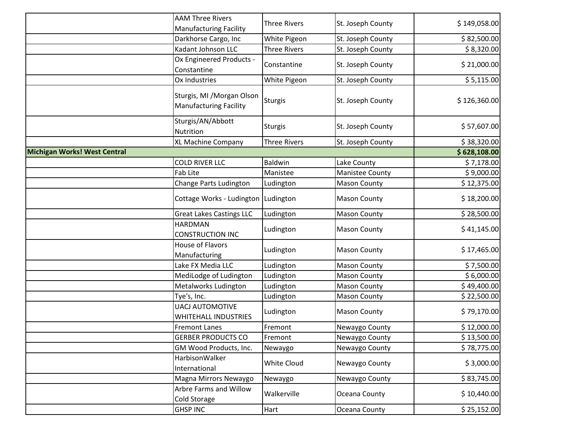|                              | <b>AAM Three Rivers</b><br><b>Manufacturing Facility</b>    | <b>Three Rivers</b> | St. Joseph County      | \$149,058.00 |
|------------------------------|-------------------------------------------------------------|---------------------|------------------------|--------------|
|                              | Darkhorse Cargo, Inc                                        | White Pigeon        | St. Joseph County      | \$82,500.00  |
|                              | Kadant Johnson LLC                                          | <b>Three Rivers</b> | St. Joseph County      | \$8,320.00   |
|                              | Ox Engineered Products -<br>Constantine                     | Constantine         | St. Joseph County      | \$21,000.00  |
|                              | Ox Industries                                               | White Pigeon        | St. Joseph County      | \$5,115.00   |
|                              | Sturgis, MI / Morgan Olson<br><b>Manufacturing Facility</b> | <b>Sturgis</b>      | St. Joseph County      | \$126,360.00 |
|                              | Sturgis/AN/Abbott<br>Nutrition                              | <b>Sturgis</b>      | St. Joseph County      | \$57,607.00  |
|                              | XL Machine Company                                          | <b>Three Rivers</b> | St. Joseph County      | \$38,320.00  |
| Michigan Works! West Central |                                                             |                     |                        | \$628,108.00 |
|                              | COLD RIVER LLC                                              | Baldwin             | Lake County            | \$7,178.00   |
|                              | Fab Lite                                                    | Manistee            | <b>Manistee County</b> | \$9,000.00   |
|                              | Change Parts Ludington                                      | Ludington           | <b>Mason County</b>    | \$12,375.00  |
|                              | Cottage Works - Ludington Ludington                         |                     | <b>Mason County</b>    | \$18,200.00  |
|                              | <b>Great Lakes Castings LLC</b>                             | Ludington           | <b>Mason County</b>    | \$28,500.00  |
|                              | <b>HARDMAN</b><br><b>CONSTRUCTION INC</b>                   | Ludington           | <b>Mason County</b>    | \$41,145.00  |
|                              | House of Flavors<br>Manufacturing                           | Ludington           | <b>Mason County</b>    | \$17,465.00  |
|                              | Lake FX Media LLC                                           | Ludington           | <b>Mason County</b>    | \$7,500.00   |
|                              | MediLodge of Ludington                                      | Ludington           | <b>Mason County</b>    | \$6,000.00   |
|                              | Metalworks Ludington                                        | Ludington           | <b>Mason County</b>    | \$49,400.00  |
|                              | Tye's, Inc.                                                 | Ludington           | <b>Mason County</b>    | \$22,500.00  |
|                              | <b>UACJ AUTOMOTIVE</b><br><b>WHITEHALL INDUSTRIES</b>       | Ludington           | <b>Mason County</b>    | \$79,170.00  |
|                              | <b>Fremont Lanes</b>                                        | Fremont             | Newaygo County         | \$12,000.00  |
|                              | <b>GERBER PRODUCTS CO</b>                                   | Fremont             | Newaygo County         | \$13,500.00  |
|                              | GM Wood Products, Inc.                                      | Newaygo             | Newaygo County         | \$78,775.00  |
|                              | HarbisonWalker<br>International                             | White Cloud         | Newaygo County         | \$3,000.00   |
|                              | Magna Mirrors Newaygo                                       | Newaygo             | Newaygo County         | \$83,745.00  |
|                              | <b>Arbre Farms and Willow</b><br><b>Cold Storage</b>        | Walkerville         | Oceana County          | \$10,440.00  |
|                              | <b>GHSP INC</b>                                             | Hart                | Oceana County          | \$25,152.00  |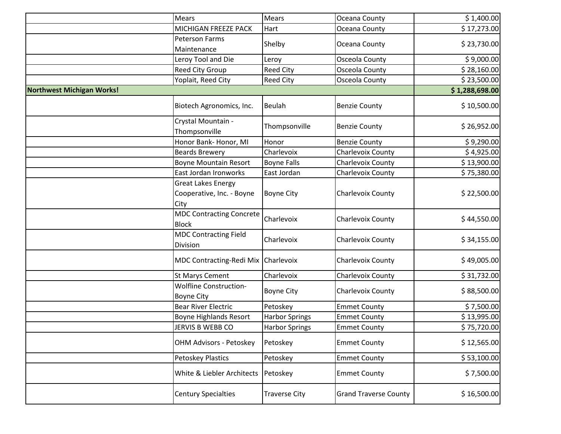|                                  | <b>Mears</b>                                                   | <b>Mears</b>          | Oceana County                | \$1,400.00     |
|----------------------------------|----------------------------------------------------------------|-----------------------|------------------------------|----------------|
|                                  | MICHIGAN FREEZE PACK                                           | Hart                  | Oceana County                | \$17,273.00    |
|                                  | <b>Peterson Farms</b><br>Maintenance                           | Shelby                | Oceana County                | \$23,730.00    |
|                                  | Leroy Tool and Die                                             | Leroy                 | Osceola County               | \$9,000.00     |
|                                  | <b>Reed City Group</b>                                         | <b>Reed City</b>      | Osceola County               | \$28,160.00    |
|                                  | Yoplait, Reed City                                             | <b>Reed City</b>      | Osceola County               | \$23,500.00    |
| <b>Northwest Michigan Works!</b> |                                                                |                       |                              | \$1,288,698.00 |
|                                  | Biotech Agronomics, Inc.                                       | Beulah                | <b>Benzie County</b>         | \$10,500.00    |
|                                  | Crystal Mountain -<br>Thompsonville                            | Thompsonville         | <b>Benzie County</b>         | \$26,952.00    |
|                                  | Honor Bank- Honor, MI                                          | Honor                 | <b>Benzie County</b>         | \$9,290.00     |
|                                  | <b>Beards Brewery</b>                                          | Charlevoix            | Charlevoix County            | \$4,925.00     |
|                                  | <b>Boyne Mountain Resort</b>                                   | <b>Boyne Falls</b>    | Charlevoix County            | \$13,900.00    |
|                                  | East Jordan Ironworks                                          | East Jordan           | Charlevoix County            | \$75,380.00    |
|                                  | <b>Great Lakes Energy</b><br>Cooperative, Inc. - Boyne<br>City | <b>Boyne City</b>     | Charlevoix County            | \$22,500.00    |
|                                  | <b>MDC Contracting Concrete</b><br><b>Block</b>                | Charlevoix            | Charlevoix County            | \$44,550.00    |
|                                  | <b>MDC Contracting Field</b><br>Division                       | Charlevoix            | Charlevoix County            | \$34,155.00    |
|                                  | <b>MDC Contracting-Redi Mix</b>                                | Charlevoix            | Charlevoix County            | \$49,005.00    |
|                                  | <b>St Marys Cement</b>                                         | Charlevoix            | Charlevoix County            | \$31,732.00    |
|                                  | <b>Wolfline Construction-</b><br><b>Boyne City</b>             | <b>Boyne City</b>     | Charlevoix County            | \$88,500.00    |
|                                  | <b>Bear River Electric</b>                                     | Petoskey              | <b>Emmet County</b>          | \$7,500.00     |
|                                  | <b>Boyne Highlands Resort</b>                                  | <b>Harbor Springs</b> | <b>Emmet County</b>          | \$13,995.00    |
|                                  | JERVIS B WEBB CO                                               | <b>Harbor Springs</b> | <b>Emmet County</b>          | \$75,720.00    |
|                                  | OHM Advisors - Petoskey                                        | Petoskey              | <b>Emmet County</b>          | \$12,565.00    |
|                                  | Petoskey Plastics                                              | Petoskey              | <b>Emmet County</b>          | \$53,100.00    |
|                                  | White & Liebler Architects                                     | Petoskey              | <b>Emmet County</b>          | \$7,500.00     |
|                                  | <b>Century Specialties</b>                                     | <b>Traverse City</b>  | <b>Grand Traverse County</b> | \$16,500.00    |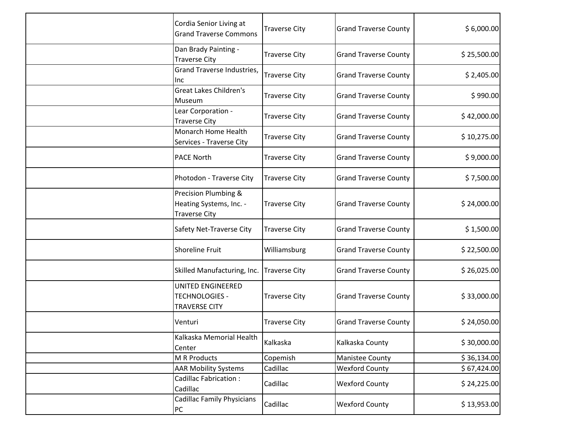| Cordia Senior Living at<br><b>Grand Traverse Commons</b>                | <b>Traverse City</b> | <b>Grand Traverse County</b> | \$6,000.00  |
|-------------------------------------------------------------------------|----------------------|------------------------------|-------------|
| Dan Brady Painting -<br><b>Traverse City</b>                            | <b>Traverse City</b> | <b>Grand Traverse County</b> | \$25,500.00 |
| Grand Traverse Industries,<br>Inc                                       | <b>Traverse City</b> | <b>Grand Traverse County</b> | \$2,405.00  |
| <b>Great Lakes Children's</b><br>Museum                                 | <b>Traverse City</b> | <b>Grand Traverse County</b> | \$990.00    |
| Lear Corporation -<br><b>Traverse City</b>                              | <b>Traverse City</b> | <b>Grand Traverse County</b> | \$42,000.00 |
| Monarch Home Health<br>Services - Traverse City                         | <b>Traverse City</b> | <b>Grand Traverse County</b> | \$10,275.00 |
| <b>PACE North</b>                                                       | <b>Traverse City</b> | <b>Grand Traverse County</b> | \$9,000.00  |
| Photodon - Traverse City                                                | <b>Traverse City</b> | <b>Grand Traverse County</b> | \$7,500.00  |
| Precision Plumbing &<br>Heating Systems, Inc. -<br><b>Traverse City</b> | <b>Traverse City</b> | <b>Grand Traverse County</b> | \$24,000.00 |
| Safety Net-Traverse City                                                | <b>Traverse City</b> | <b>Grand Traverse County</b> | \$1,500.00  |
| <b>Shoreline Fruit</b>                                                  | Williamsburg         | <b>Grand Traverse County</b> | \$22,500.00 |
| Skilled Manufacturing, Inc.                                             | <b>Traverse City</b> | <b>Grand Traverse County</b> | \$26,025.00 |
| UNITED ENGINEERED<br><b>TECHNOLOGIES -</b><br><b>TRAVERSE CITY</b>      | <b>Traverse City</b> | <b>Grand Traverse County</b> | \$33,000.00 |
| Venturi                                                                 | <b>Traverse City</b> | <b>Grand Traverse County</b> | \$24,050.00 |
| Kalkaska Memorial Health<br>Center                                      | Kalkaska             | Kalkaska County              | \$30,000.00 |
| M R Products                                                            | Copemish             | <b>Manistee County</b>       | \$36,134.00 |
| <b>AAR Mobility Systems</b>                                             | Cadillac             | <b>Wexford County</b>        | \$67,424.00 |
| <b>Cadillac Fabrication:</b><br>Cadillac                                | Cadillac             | <b>Wexford County</b>        | \$24,225.00 |
| <b>Cadillac Family Physicians</b><br>PC                                 | Cadillac             | <b>Wexford County</b>        | \$13,953.00 |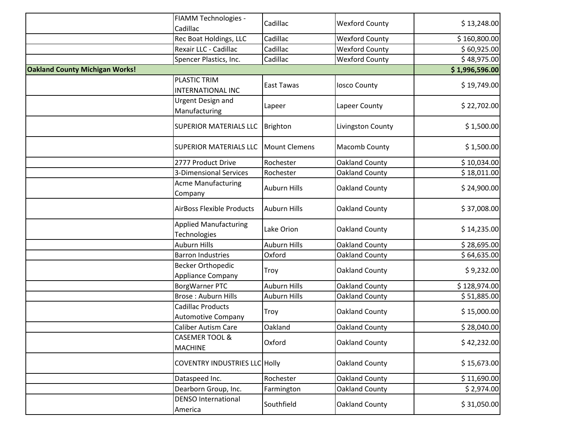|                                       | FIAMM Technologies -                                  | Cadillac             | <b>Wexford County</b> | \$13,248.00    |
|---------------------------------------|-------------------------------------------------------|----------------------|-----------------------|----------------|
|                                       | Cadillac<br>Rec Boat Holdings, LLC                    | Cadillac             | <b>Wexford County</b> | \$160,800.00   |
|                                       | Rexair LLC - Cadillac                                 | Cadillac             | <b>Wexford County</b> | \$60,925.00    |
|                                       | Spencer Plastics, Inc.                                | Cadillac             | <b>Wexford County</b> | \$48,975.00    |
| <b>Oakland County Michigan Works!</b> |                                                       |                      |                       | \$1,996,596.00 |
|                                       | PLASTIC TRIM<br><b>INTERNATIONAL INC</b>              | East Tawas           | <b>losco County</b>   | \$19,749.00    |
|                                       | <b>Urgent Design and</b><br>Manufacturing             | Lapeer               | Lapeer County         | \$22,702.00    |
|                                       | <b>SUPERIOR MATERIALS LLC</b>                         | Brighton             | Livingston County     | \$1,500.00     |
|                                       | <b>SUPERIOR MATERIALS LLC</b>                         | <b>Mount Clemens</b> | Macomb County         | \$1,500.00     |
|                                       | 2777 Product Drive                                    | Rochester            | <b>Oakland County</b> | \$10,034.00    |
|                                       | 3-Dimensional Services                                | Rochester            | <b>Oakland County</b> | \$18,011.00    |
|                                       | <b>Acme Manufacturing</b><br>Company                  | <b>Auburn Hills</b>  | Oakland County        | \$24,900.00    |
|                                       | <b>AirBoss Flexible Products</b>                      | <b>Auburn Hills</b>  | Oakland County        | \$37,008.00    |
|                                       | <b>Applied Manufacturing</b><br>Technologies          | Lake Orion           | <b>Oakland County</b> | \$14,235.00    |
|                                       | <b>Auburn Hills</b>                                   | <b>Auburn Hills</b>  | Oakland County        | \$28,695.00    |
|                                       | <b>Barron Industries</b>                              | Oxford               | Oakland County        | \$64,635.00    |
|                                       | <b>Becker Orthopedic</b><br>Appliance Company         | Troy                 | Oakland County        | \$9,232.00     |
|                                       | <b>BorgWarner PTC</b>                                 | <b>Auburn Hills</b>  | <b>Oakland County</b> | \$128,974.00   |
|                                       | <b>Brose: Auburn Hills</b>                            | <b>Auburn Hills</b>  | <b>Oakland County</b> | \$51,885.00    |
|                                       | <b>Cadillac Products</b><br><b>Automotive Company</b> | Troy                 | <b>Oakland County</b> | \$15,000.00    |
|                                       | <b>Caliber Autism Care</b>                            | Oakland              | Oakland County        | \$28,040.00    |
|                                       | <b>CASEMER TOOL &amp;</b><br><b>MACHINE</b>           | Oxford               | <b>Oakland County</b> | \$42,232.00    |
|                                       | <b>COVENTRY INDUSTRIES LLC Holly</b>                  |                      | <b>Oakland County</b> | \$15,673.00    |
|                                       | Dataspeed Inc.                                        | Rochester            | Oakland County        | \$11,690.00    |
|                                       | Dearborn Group, Inc.                                  | Farmington           | <b>Oakland County</b> | \$2,974.00     |
|                                       | <b>DENSO International</b><br>America                 | Southfield           | <b>Oakland County</b> | \$31,050.00    |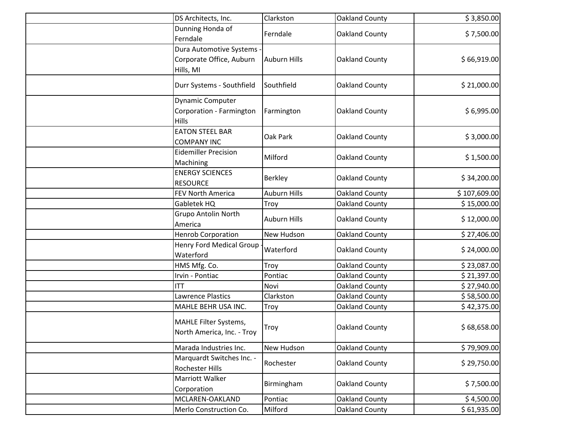| DS Architects, Inc.                                                | Clarkston           | <b>Oakland County</b> | \$3,850.00   |
|--------------------------------------------------------------------|---------------------|-----------------------|--------------|
| Dunning Honda of<br>Ferndale                                       | Ferndale            | <b>Oakland County</b> | \$7,500.00   |
| Dura Automotive Systems -<br>Corporate Office, Auburn<br>Hills, MI | <b>Auburn Hills</b> | Oakland County        | \$66,919.00  |
| Durr Systems - Southfield                                          | Southfield          | <b>Oakland County</b> | \$21,000.00  |
| <b>Dynamic Computer</b><br>Corporation - Farmington<br>Hills       | Farmington          | Oakland County        | \$6,995.00   |
| <b>EATON STEEL BAR</b><br><b>COMPANY INC</b>                       | Oak Park            | Oakland County        | \$3,000.00   |
| <b>Eidemiller Precision</b><br>Machining                           | Milford             | <b>Oakland County</b> | \$1,500.00   |
| <b>ENERGY SCIENCES</b><br><b>RESOURCE</b>                          | <b>Berkley</b>      | <b>Oakland County</b> | \$34,200.00  |
| FEV North America                                                  | <b>Auburn Hills</b> | <b>Oakland County</b> | \$107,609.00 |
| Gabletek HQ                                                        | Troy                | Oakland County        | \$15,000.00  |
| Grupo Antolin North<br>America                                     | <b>Auburn Hills</b> | Oakland County        | \$12,000.00  |
| <b>Henrob Corporation</b>                                          | New Hudson          | Oakland County        | \$27,406.00  |
| Henry Ford Medical Group<br>Waterford                              | Waterford           | <b>Oakland County</b> | \$24,000.00  |
| HMS Mfg. Co.                                                       | Troy                | <b>Oakland County</b> | \$23,087.00  |
| Irvin - Pontiac                                                    | Pontiac             | <b>Oakland County</b> | \$21,397.00  |
| <b>ITT</b>                                                         | Novi                | <b>Oakland County</b> | \$27,940.00  |
| <b>Lawrence Plastics</b>                                           | Clarkston           | Oakland County        | \$58,500.00  |
| MAHLE BEHR USA INC.                                                | Troy                | Oakland County        | \$42,375.00  |
| MAHLE Filter Systems,<br>North America, Inc. - Troy                | Troy                | Oakland County        | \$68,658.00  |
| Marada Industries Inc.                                             | New Hudson          | <b>Oakland County</b> | \$79,909.00  |
| Marquardt Switches Inc. -<br>Rochester Hills                       | Rochester           | <b>Oakland County</b> | \$29,750.00  |
| Marriott Walker<br>Corporation                                     | Birmingham          | Oakland County        | \$7,500.00   |
| MCLAREN-OAKLAND                                                    | Pontiac             | <b>Oakland County</b> | \$4,500.00   |
| Merlo Construction Co.                                             | Milford             | Oakland County        | \$61,935.00  |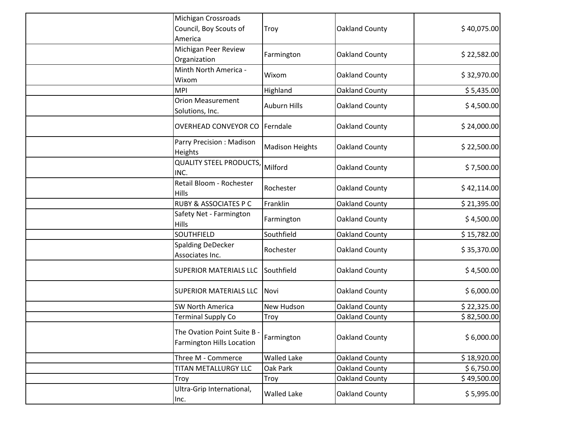| Michigan Crossroads                                             |                        |                       |             |
|-----------------------------------------------------------------|------------------------|-----------------------|-------------|
| Council, Boy Scouts of                                          | Troy                   | Oakland County        | \$40,075.00 |
| America                                                         |                        |                       |             |
| Michigan Peer Review                                            | Farmington             | Oakland County        | \$22,582.00 |
| Organization<br>Minth North America -                           |                        |                       |             |
| Wixom                                                           | Wixom                  | Oakland County        | \$32,970.00 |
| <b>MPI</b>                                                      | Highland               | Oakland County        | \$5,435.00  |
| <b>Orion Measurement</b>                                        |                        |                       |             |
| Solutions, Inc.                                                 | <b>Auburn Hills</b>    | Oakland County        | \$4,500.00  |
| <b>OVERHEAD CONVEYOR CO Ferndale</b>                            |                        | Oakland County        | \$24,000.00 |
| Parry Precision : Madison                                       | <b>Madison Heights</b> | <b>Oakland County</b> | \$22,500.00 |
| Heights                                                         |                        |                       |             |
| <b>QUALITY STEEL PRODUCTS,</b><br>INC.                          | Milford                | Oakland County        | \$7,500.00  |
| Retail Bloom - Rochester<br>Hills                               | Rochester              | Oakland County        | \$42,114.00 |
| <b>RUBY &amp; ASSOCIATES P C</b>                                | Franklin               | Oakland County        | \$21,395.00 |
| Safety Net - Farmington<br>Hills                                | Farmington             | Oakland County        | \$4,500.00  |
| <b>SOUTHFIELD</b>                                               | Southfield             | <b>Oakland County</b> | \$15,782.00 |
| <b>Spalding DeDecker</b><br>Associates Inc.                     | Rochester              | Oakland County        | \$35,370.00 |
| <b>SUPERIOR MATERIALS LLC</b>                                   | Southfield             | Oakland County        | \$4,500.00  |
| <b>SUPERIOR MATERIALS LLC</b>                                   | Novi                   | Oakland County        | \$6,000.00  |
| SW North America                                                | New Hudson             | Oakland County        | \$22,325.00 |
| <b>Terminal Supply Co</b>                                       | Troy                   | <b>Oakland County</b> | \$82,500.00 |
| The Ovation Point Suite B -<br><b>Farmington Hills Location</b> | Farmington             | Oakland County        | \$6,000.00  |
| Three M - Commerce                                              | <b>Walled Lake</b>     | Oakland County        | \$18,920.00 |
| TITAN METALLURGY LLC                                            | Oak Park               | Oakland County        | \$6,750.00  |
| Troy                                                            | Troy                   | Oakland County        | \$49,500.00 |
| Ultra-Grip International,<br>Inc.                               | <b>Walled Lake</b>     | Oakland County        | \$5,995.00  |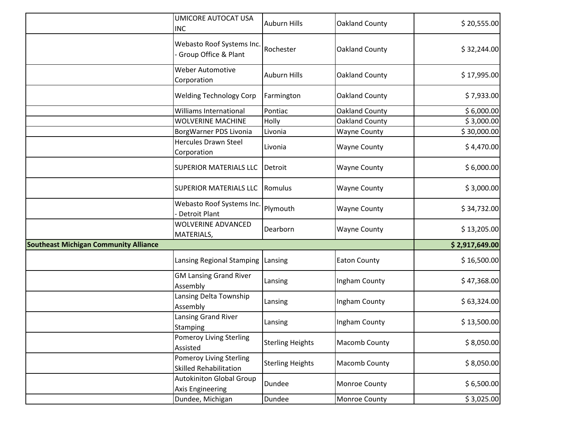|                                              | UMICORE AUTOCAT USA<br><b>INC</b>                               | <b>Auburn Hills</b>     | <b>Oakland County</b> | \$20,555.00    |
|----------------------------------------------|-----------------------------------------------------------------|-------------------------|-----------------------|----------------|
|                                              | Webasto Roof Systems Inc.<br>Group Office & Plant               | Rochester               | Oakland County        | \$32,244.00    |
|                                              | Weber Automotive<br>Corporation                                 | <b>Auburn Hills</b>     | <b>Oakland County</b> | \$17,995.00    |
|                                              | <b>Welding Technology Corp</b>                                  | Farmington              | Oakland County        | \$7,933.00     |
|                                              | <b>Williams International</b>                                   | Pontiac                 | Oakland County        | \$6,000.00     |
|                                              | <b>WOLVERINE MACHINE</b>                                        | Holly                   | <b>Oakland County</b> | \$3,000.00     |
|                                              | BorgWarner PDS Livonia                                          | Livonia                 | <b>Wayne County</b>   | \$30,000.00    |
|                                              | <b>Hercules Drawn Steel</b><br>Corporation                      | Livonia                 | <b>Wayne County</b>   | \$4,470.00     |
|                                              | <b>SUPERIOR MATERIALS LLC</b>                                   | Detroit                 | <b>Wayne County</b>   | \$6,000.00     |
|                                              | <b>SUPERIOR MATERIALS LLC</b>                                   | Romulus                 | <b>Wayne County</b>   | \$3,000.00     |
|                                              | Webasto Roof Systems Inc.<br>Detroit Plant                      | Plymouth                | <b>Wayne County</b>   | \$34,732.00    |
|                                              | <b>WOLVERINE ADVANCED</b><br>MATERIALS,                         | Dearborn                | <b>Wayne County</b>   | \$13,205.00    |
| <b>Southeast Michigan Community Alliance</b> |                                                                 |                         |                       | \$2,917,649.00 |
|                                              | Lansing Regional Stamping                                       | Lansing                 | <b>Eaton County</b>   | \$16,500.00    |
|                                              | <b>GM Lansing Grand River</b><br>Assembly                       | Lansing                 | Ingham County         | \$47,368.00    |
|                                              | Lansing Delta Township<br>Assembly                              | Lansing                 | Ingham County         | \$63,324.00    |
|                                              | Lansing Grand River<br>Stamping                                 | Lansing                 | Ingham County         | \$13,500.00    |
|                                              | Pomeroy Living Sterling<br>Assisted                             | <b>Sterling Heights</b> | Macomb County         | \$8,050.00     |
|                                              | <b>Pomeroy Living Sterling</b><br><b>Skilled Rehabilitation</b> | <b>Sterling Heights</b> | Macomb County         | \$8,050.00     |
|                                              | <b>Autokiniton Global Group</b><br>Axis Engineering             | Dundee                  | Monroe County         | \$6,500.00     |
|                                              | Dundee, Michigan                                                | Dundee                  | Monroe County         | \$3,025.00     |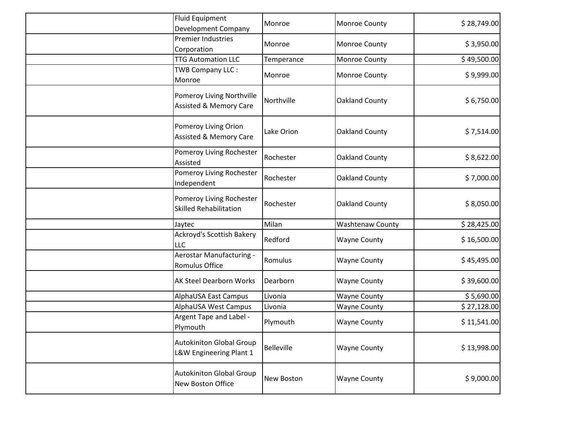| <b>Fluid Equipment</b><br>Development Company                  | Monroe            | Monroe County           | \$28,749.00 |
|----------------------------------------------------------------|-------------------|-------------------------|-------------|
| Premier Industries<br>Corporation                              | Monroe            | Monroe County           | \$3,950.00  |
| <b>TTG Automation LLC</b>                                      | Temperance        | Monroe County           | \$49,500.00 |
| TWB Company LLC :<br>Monroe                                    | Monroe            | Monroe County           | \$9,999.00  |
| Pomeroy Living Northville<br><b>Assisted &amp; Memory Care</b> | Northville        | <b>Oakland County</b>   | \$6,750.00  |
| Pomeroy Living Orion<br><b>Assisted &amp; Memory Care</b>      | Lake Orion        | <b>Oakland County</b>   | \$7,514.00  |
| Pomeroy Living Rochester<br>Assisted                           | Rochester         | <b>Oakland County</b>   | \$8,622.00  |
| Pomeroy Living Rochester<br>Independent                        | Rochester         | <b>Oakland County</b>   | \$7,000.00  |
| Pomeroy Living Rochester<br><b>Skilled Rehabilitation</b>      | Rochester         | <b>Oakland County</b>   | \$8,050.00  |
| Jaytec                                                         | Milan             | <b>Washtenaw County</b> | \$28,425.00 |
| Ackroyd's Scottish Bakery<br><b>LLC</b>                        | Redford           | <b>Wayne County</b>     | \$16,500.00 |
| Aerostar Manufacturing -<br>Romulus Office                     | Romulus           | <b>Wayne County</b>     | \$45,495.00 |
| <b>AK Steel Dearborn Works</b>                                 | Dearborn          | <b>Wayne County</b>     | \$39,600.00 |
| AlphaUSA East Campus                                           | Livonia           | <b>Wayne County</b>     | \$5,690.00  |
| AlphaUSA West Campus                                           | Livonia           | <b>Wayne County</b>     | \$27,128.00 |
| Argent Tape and Label -<br>Plymouth                            | Plymouth          | <b>Wayne County</b>     | \$11,541.00 |
| <b>Autokiniton Global Group</b><br>L&W Engineering Plant 1     | <b>Belleville</b> | <b>Wayne County</b>     | \$13,998.00 |
| <b>Autokiniton Global Group</b><br>New Boston Office           | New Boston        | <b>Wayne County</b>     | \$9,000.00  |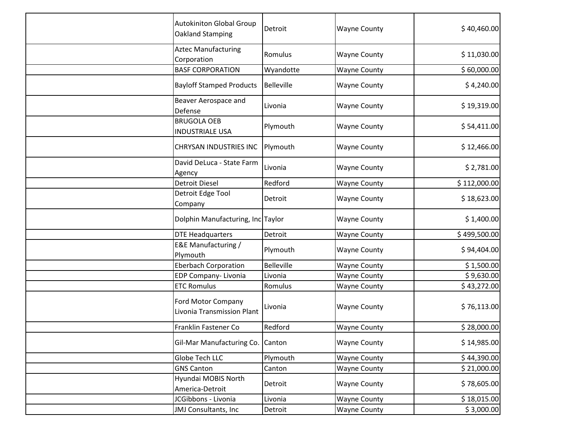| <b>Autokiniton Global Group</b><br>Oakland Stamping | Detroit           | <b>Wayne County</b> | \$40,460.00  |
|-----------------------------------------------------|-------------------|---------------------|--------------|
| <b>Aztec Manufacturing</b><br>Corporation           | Romulus           | <b>Wayne County</b> | \$11,030.00  |
| <b>BASF CORPORATION</b>                             | Wyandotte         | <b>Wayne County</b> | \$60,000.00  |
| <b>Bayloff Stamped Products</b>                     | <b>Belleville</b> | <b>Wayne County</b> | \$4,240.00   |
| Beaver Aerospace and<br>Defense                     | Livonia           | <b>Wayne County</b> | \$19,319.00  |
| <b>BRUGOLA OEB</b><br><b>INDUSTRIALE USA</b>        | Plymouth          | <b>Wayne County</b> | \$54,411.00  |
| <b>CHRYSAN INDUSTRIES INC</b>                       | Plymouth          | <b>Wayne County</b> | \$12,466.00  |
| David DeLuca - State Farm<br>Agency                 | Livonia           | <b>Wayne County</b> | \$2,781.00   |
| <b>Detroit Diesel</b>                               | Redford           | <b>Wayne County</b> | \$112,000.00 |
| Detroit Edge Tool<br>Company                        | Detroit           | <b>Wayne County</b> | \$18,623.00  |
| Dolphin Manufacturing, Inc Taylor                   |                   | <b>Wayne County</b> | \$1,400.00   |
| <b>DTE Headquarters</b>                             | Detroit           | <b>Wayne County</b> | \$499,500.00 |
| E&E Manufacturing /<br>Plymouth                     | Plymouth          | <b>Wayne County</b> | \$94,404.00  |
| <b>Eberbach Corporation</b>                         | <b>Belleville</b> | <b>Wayne County</b> | \$1,500.00   |
| EDP Company- Livonia                                | Livonia           | <b>Wayne County</b> | \$9,630.00   |
| <b>ETC Romulus</b>                                  | Romulus           | <b>Wayne County</b> | \$43,272.00  |
| Ford Motor Company<br>Livonia Transmission Plant    | Livonia           | <b>Wayne County</b> | \$76,113.00  |
| Franklin Fastener Co                                | Redford           | <b>Wayne County</b> | \$28,000.00  |
| Gil-Mar Manufacturing Co.                           | Canton            | <b>Wayne County</b> | \$14,985.00  |
| Globe Tech LLC                                      | Plymouth          | <b>Wayne County</b> | \$44,390.00  |
| <b>GNS Canton</b>                                   | Canton            | <b>Wayne County</b> | \$21,000.00  |
| Hyundai MOBIS North<br>America-Detroit              | Detroit           | <b>Wayne County</b> | \$78,605.00  |
| JCGibbons - Livonia                                 | Livonia           | <b>Wayne County</b> | \$18,015.00  |
| JMJ Consultants, Inc                                | Detroit           | <b>Wayne County</b> | \$3,000.00   |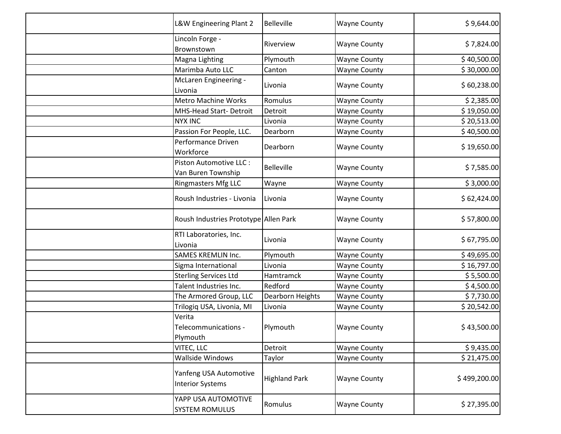| L&W Engineering Plant 2                           | <b>Belleville</b>    | <b>Wayne County</b> | \$9,644.00   |
|---------------------------------------------------|----------------------|---------------------|--------------|
| Lincoln Forge -<br>Brownstown                     | Riverview            | <b>Wayne County</b> | \$7,824.00   |
| Magna Lighting                                    | Plymouth             | <b>Wayne County</b> | \$40,500.00  |
| Marimba Auto LLC                                  | Canton               | <b>Wayne County</b> | \$30,000.00  |
| McLaren Engineering -<br>Livonia                  | Livonia              | <b>Wayne County</b> | \$60,238.00  |
| <b>Metro Machine Works</b>                        | Romulus              | <b>Wayne County</b> | \$2,385.00   |
| MHS-Head Start-Detroit                            | Detroit              | <b>Wayne County</b> | \$19,050.00  |
| <b>NYX INC</b>                                    | Livonia              | <b>Wayne County</b> | \$20,513.00  |
| Passion For People, LLC.                          | Dearborn             | <b>Wayne County</b> | \$40,500.00  |
| Performance Driven<br>Workforce                   | Dearborn             | <b>Wayne County</b> | \$19,650.00  |
| Piston Automotive LLC :<br>Van Buren Township     | <b>Belleville</b>    | <b>Wayne County</b> | \$7,585.00   |
| <b>Ringmasters Mfg LLC</b>                        | Wayne                | <b>Wayne County</b> | \$3,000.00   |
| Roush Industries - Livonia                        | Livonia              | <b>Wayne County</b> | \$62,424.00  |
| Roush Industries Prototype Allen Park             |                      | <b>Wayne County</b> | \$57,800.00  |
| RTI Laboratories, Inc.<br>Livonia                 | Livonia              | <b>Wayne County</b> | \$67,795.00  |
| <b>SAMES KREMLIN Inc.</b>                         | Plymouth             | <b>Wayne County</b> | \$49,695.00  |
| Sigma International                               | Livonia              | <b>Wayne County</b> | \$16,797.00  |
| <b>Sterling Services Ltd</b>                      | Hamtramck            | <b>Wayne County</b> | \$5,500.00   |
| Talent Industries Inc.                            | Redford              | <b>Wayne County</b> | \$4,500.00   |
| The Armored Group, LLC                            | Dearborn Heights     | <b>Wayne County</b> | \$7,730.00   |
| Trilogiq USA, Livonia, MI                         | Livonia              | <b>Wayne County</b> | \$20,542.00  |
| Verita<br>Telecommunications -<br>Plymouth        | Plymouth             | <b>Wayne County</b> | \$43,500.00  |
| VITEC, LLC                                        | Detroit              | <b>Wayne County</b> | \$9,435.00   |
| Wallside Windows                                  | Taylor               | <b>Wayne County</b> | \$21,475.00  |
| Yanfeng USA Automotive<br><b>Interior Systems</b> | <b>Highland Park</b> | <b>Wayne County</b> | \$499,200.00 |
| YAPP USA AUTOMOTIVE<br><b>SYSTEM ROMULUS</b>      | Romulus              | <b>Wayne County</b> | \$27,395.00  |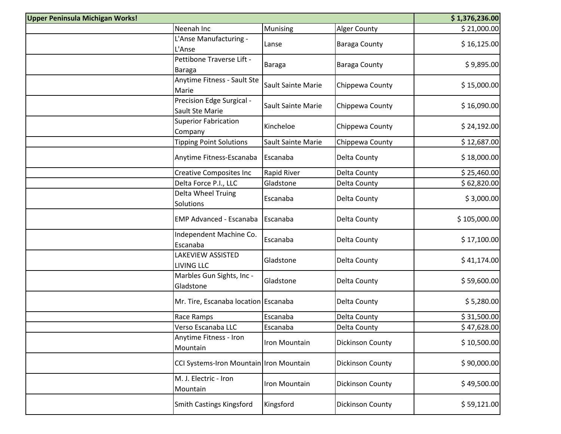| <b>Upper Peninsula Michigan Works!</b>       | \$1,376,236.00     |                         |              |
|----------------------------------------------|--------------------|-------------------------|--------------|
| Neenah Inc                                   | Munising           | <b>Alger County</b>     | \$21,000.00  |
| L'Anse Manufacturing -<br>L'Anse             | Lanse              | <b>Baraga County</b>    | \$16,125.00  |
| Pettibone Traverse Lift -<br><b>Baraga</b>   | <b>Baraga</b>      | <b>Baraga County</b>    | \$9,895.00   |
| Anytime Fitness - Sault Ste<br>Marie         | Sault Sainte Marie | Chippewa County         | \$15,000.00  |
| Precision Edge Surgical -<br>Sault Ste Marie | Sault Sainte Marie | Chippewa County         | \$16,090.00  |
| <b>Superior Fabrication</b><br>Company       | Kincheloe          | Chippewa County         | \$24,192.00  |
| <b>Tipping Point Solutions</b>               | Sault Sainte Marie | Chippewa County         | \$12,687.00  |
| Anytime Fitness-Escanaba                     | Escanaba           | Delta County            | \$18,000.00  |
| <b>Creative Composites Inc</b>               | Rapid River        | Delta County            | \$25,460.00  |
| Delta Force P.I., LLC                        | Gladstone          | Delta County            | \$62,820.00  |
| Delta Wheel Truing<br>Solutions              | Escanaba           | Delta County            | \$3,000.00   |
| <b>EMP Advanced - Escanaba</b>               | Escanaba           | Delta County            | \$105,000.00 |
| Independent Machine Co.<br>Escanaba          | Escanaba           | Delta County            | \$17,100.00  |
| LAKEVIEW ASSISTED<br>LIVING LLC              | Gladstone          | Delta County            | \$41,174.00  |
| Marbles Gun Sights, Inc -<br>Gladstone       | Gladstone          | Delta County            | \$59,600.00  |
| Mr. Tire, Escanaba location Escanaba         |                    | Delta County            | \$5,280.00   |
| Race Ramps                                   | Escanaba           | Delta County            | \$31,500.00  |
| Verso Escanaba LLC                           | Escanaba           | Delta County            | \$47,628.00  |
| Anytime Fitness - Iron<br>Mountain           | Iron Mountain      | <b>Dickinson County</b> | \$10,500.00  |
| CCI Systems-Iron Mountain Iron Mountain      |                    | <b>Dickinson County</b> | \$90,000.00  |
| M. J. Electric - Iron<br>Mountain            | Iron Mountain      | <b>Dickinson County</b> | \$49,500.00  |
| <b>Smith Castings Kingsford</b>              | Kingsford          | <b>Dickinson County</b> | \$59,121.00  |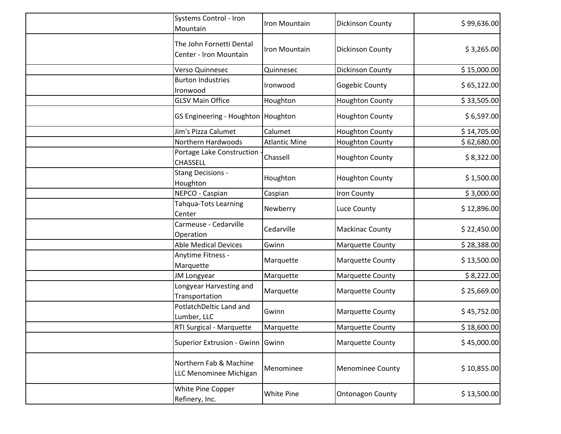| Systems Control - Iron<br>Mountain                 | Iron Mountain        | <b>Dickinson County</b> | \$99,636.00 |
|----------------------------------------------------|----------------------|-------------------------|-------------|
| The John Fornetti Dental<br>Center - Iron Mountain | Iron Mountain        | Dickinson County        | \$3,265.00  |
| Verso Quinnesec                                    | Quinnesec            | Dickinson County        | \$15,000.00 |
| <b>Burton Industries</b><br>Ironwood               | Ironwood             | Gogebic County          | \$65,122.00 |
| <b>GLSV Main Office</b>                            | Houghton             | Houghton County         | \$33,505.00 |
| GS Engineering - Houghton   Houghton               |                      | <b>Houghton County</b>  | \$6,597.00  |
| Jim's Pizza Calumet                                | Calumet              | <b>Houghton County</b>  | \$14,705.00 |
| Northern Hardwoods                                 | <b>Atlantic Mine</b> | <b>Houghton County</b>  | \$62,680.00 |
| Portage Lake Construction<br><b>CHASSELL</b>       | Chassell             | <b>Houghton County</b>  | \$8,322.00  |
| <b>Stang Decisions -</b><br>Houghton               | Houghton             | <b>Houghton County</b>  | \$1,500.00  |
| NEPCO - Caspian                                    | Caspian              | Iron County             | \$3,000.00  |
| <b>Tahqua-Tots Learning</b><br>Center              | Newberry             | Luce County             | \$12,896.00 |
| Carmeuse - Cedarville<br>Operation                 | Cedarville           | <b>Mackinac County</b>  | \$22,450.00 |
| <b>Able Medical Devices</b>                        | Gwinn                | Marquette County        | \$28,388.00 |
| Anytime Fitness -<br>Marquette                     | Marquette            | <b>Marquette County</b> | \$13,500.00 |
| JM Longyear                                        | Marquette            | Marquette County        | \$8,222.00  |
| Longyear Harvesting and<br>Transportation          | Marquette            | <b>Marquette County</b> | \$25,669.00 |
| PotlatchDeltic Land and<br>Lumber, LLC             | Gwinn                | <b>Marquette County</b> | \$45,752.00 |
| <b>RTI Surgical - Marquette</b>                    | Marquette            | Marquette County        | \$18,600.00 |
| Superior Extrusion - Gwinn Gwinn                   |                      | Marquette County        | \$45,000.00 |
| Northern Fab & Machine<br>LLC Menominee Michigan   | Menominee            | <b>Menominee County</b> | \$10,855.00 |
| White Pine Copper<br>Refinery, Inc.                | <b>White Pine</b>    | <b>Ontonagon County</b> | \$13,500.00 |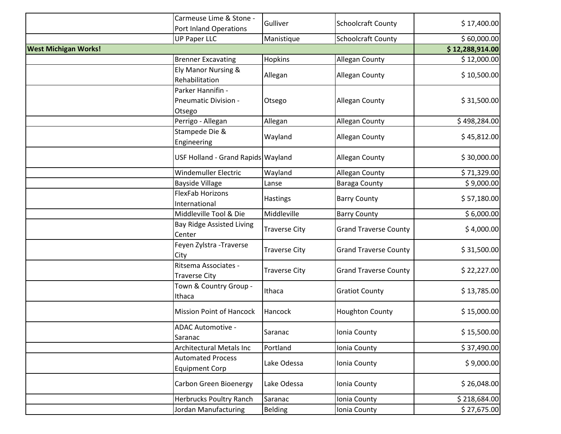|                             | Carmeuse Lime & Stone -                             | Gulliver             |                              |                 |
|-----------------------------|-----------------------------------------------------|----------------------|------------------------------|-----------------|
|                             | <b>Port Inland Operations</b>                       |                      | <b>Schoolcraft County</b>    | \$17,400.00     |
|                             | <b>UP Paper LLC</b>                                 | Manistique           | <b>Schoolcraft County</b>    | \$60,000.00     |
| <b>West Michigan Works!</b> |                                                     |                      |                              | \$12,288,914.00 |
|                             | <b>Brenner Excavating</b>                           | Hopkins              | Allegan County               | \$12,000.00     |
|                             | Ely Manor Nursing &<br>Rehabilitation               | Allegan              | Allegan County               | \$10,500.00     |
|                             | Parker Hannifin -<br>Pneumatic Division -<br>Otsego | Otsego               | Allegan County               | \$31,500.00     |
|                             | Perrigo - Allegan                                   | Allegan              | Allegan County               | \$498,284.00    |
|                             | Stampede Die &<br>Engineering                       | Wayland              | Allegan County               | \$45,812.00     |
|                             | USF Holland - Grand Rapids Wayland                  |                      | Allegan County               | \$30,000.00     |
|                             | <b>Windemuller Electric</b>                         | Wayland              | Allegan County               | \$71,329.00     |
|                             | <b>Bayside Village</b>                              | Lanse                | <b>Baraga County</b>         | \$9,000.00      |
|                             | <b>FlexFab Horizons</b><br>International            | Hastings             | <b>Barry County</b>          | \$57,180.00     |
|                             | Middleville Tool & Die                              | Middleville          | <b>Barry County</b>          | \$6,000.00      |
|                             | Bay Ridge Assisted Living<br>Center                 | <b>Traverse City</b> | <b>Grand Traverse County</b> | \$4,000.00      |
|                             | Feyen Zylstra - Traverse<br>City                    | <b>Traverse City</b> | <b>Grand Traverse County</b> | \$31,500.00     |
|                             | Ritsema Associates -<br><b>Traverse City</b>        | <b>Traverse City</b> | <b>Grand Traverse County</b> | \$22,227.00     |
|                             | Town & Country Group -<br>Ithaca                    | Ithaca               | <b>Gratiot County</b>        | \$13,785.00     |
|                             | <b>Mission Point of Hancock</b>                     | Hancock              | <b>Houghton County</b>       | \$15,000.00     |
|                             | ADAC Automotive -<br>Saranac                        | Saranac              | Ionia County                 | \$15,500.00     |
|                             | <b>Architectural Metals Inc</b>                     | Portland             | Ionia County                 | \$37,490.00     |
|                             | <b>Automated Process</b><br><b>Equipment Corp</b>   | Lake Odessa          | Ionia County                 | \$9,000.00      |
|                             | Carbon Green Bioenergy                              | Lake Odessa          | Ionia County                 | \$26,048.00     |
|                             | <b>Herbrucks Poultry Ranch</b>                      | Saranac              | Ionia County                 | \$218,684.00    |
|                             | Jordan Manufacturing                                | <b>Belding</b>       | Ionia County                 | \$27,675.00     |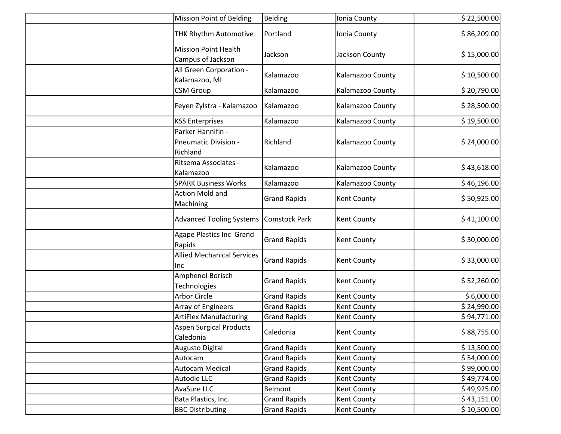| <b>Mission Point of Belding</b>                       | <b>Belding</b>       | Ionia County       | \$22,500.00 |
|-------------------------------------------------------|----------------------|--------------------|-------------|
| THK Rhythm Automotive                                 | Portland             | Ionia County       | \$86,209.00 |
| <b>Mission Point Health</b><br>Campus of Jackson      | Jackson              | Jackson County     | \$15,000.00 |
| All Green Corporation -<br>Kalamazoo, MI              | Kalamazoo            | Kalamazoo County   | \$10,500.00 |
| <b>CSM Group</b>                                      | Kalamazoo            | Kalamazoo County   | \$20,790.00 |
| Feyen Zylstra - Kalamazoo                             | Kalamazoo            | Kalamazoo County   | \$28,500.00 |
| <b>KSS Enterprises</b>                                | Kalamazoo            | Kalamazoo County   | \$19,500.00 |
| Parker Hannifin -<br>Pneumatic Division -<br>Richland | Richland             | Kalamazoo County   | \$24,000.00 |
| Ritsema Associates -<br>Kalamazoo                     | Kalamazoo            | Kalamazoo County   | \$43,618.00 |
| <b>SPARK Business Works</b>                           | Kalamazoo            | Kalamazoo County   | \$46,196.00 |
| <b>Action Mold and</b><br>Machining                   | <b>Grand Rapids</b>  | Kent County        | \$50,925.00 |
| <b>Advanced Tooling Systems</b>                       | <b>Comstock Park</b> | Kent County        | \$41,100.00 |
| Agape Plastics Inc Grand<br>Rapids                    | <b>Grand Rapids</b>  | Kent County        | \$30,000.00 |
| <b>Allied Mechanical Services</b><br>Inc              | <b>Grand Rapids</b>  | Kent County        | \$33,000.00 |
| Amphenol Borisch<br>Technologies                      | <b>Grand Rapids</b>  | Kent County        | \$52,260.00 |
| <b>Arbor Circle</b>                                   | <b>Grand Rapids</b>  | Kent County        | \$6,000.00  |
| Array of Engineers                                    | <b>Grand Rapids</b>  | Kent County        | \$24,990.00 |
| <b>ArtiFlex Manufacturing</b>                         | <b>Grand Rapids</b>  | Kent County        | \$94,771.00 |
| <b>Aspen Surgical Products</b><br>Caledonia           | Caledonia            | <b>Kent County</b> | \$88,755.00 |
| <b>Augusto Digital</b>                                | <b>Grand Rapids</b>  | Kent County        | \$13,500.00 |
| Autocam                                               | <b>Grand Rapids</b>  | Kent County        | \$54,000.00 |
| <b>Autocam Medical</b>                                | <b>Grand Rapids</b>  | Kent County        | \$99,000.00 |
| Autodie LLC                                           | <b>Grand Rapids</b>  | Kent County        | \$49,774.00 |
| AvaSure LLC                                           | Belmont              | Kent County        | \$49,925.00 |
| Bata Plastics, Inc.                                   | <b>Grand Rapids</b>  | Kent County        | \$43,151.00 |
| <b>BBC Distributing</b>                               | <b>Grand Rapids</b>  | Kent County        | \$10,500.00 |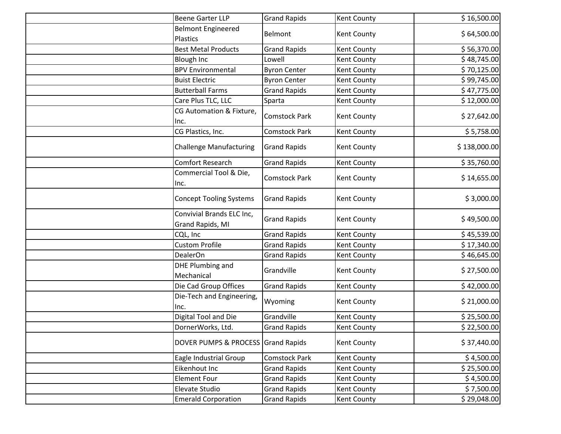| <b>Beene Garter LLP</b>                       | <b>Grand Rapids</b>  | <b>Kent County</b> | \$16,500.00  |
|-----------------------------------------------|----------------------|--------------------|--------------|
| <b>Belmont Engineered</b><br><b>Plastics</b>  | Belmont              | Kent County        | \$64,500.00  |
| <b>Best Metal Products</b>                    | <b>Grand Rapids</b>  | Kent County        | \$56,370.00  |
| <b>Blough Inc</b>                             | Lowell               | Kent County        | \$48,745.00  |
| <b>BPV Environmental</b>                      | <b>Byron Center</b>  | Kent County        | \$70,125.00  |
| <b>Buist Electric</b>                         | <b>Byron Center</b>  | Kent County        | \$99,745.00  |
| <b>Butterball Farms</b>                       | <b>Grand Rapids</b>  | Kent County        | \$47,775.00  |
| Care Plus TLC, LLC                            | Sparta               | Kent County        | \$12,000.00  |
| CG Automation & Fixture,<br>Inc.              | <b>Comstock Park</b> | <b>Kent County</b> | \$27,642.00  |
| CG Plastics, Inc.                             | <b>Comstock Park</b> | Kent County        | \$5,758.00   |
| <b>Challenge Manufacturing</b>                | <b>Grand Rapids</b>  | <b>Kent County</b> | \$138,000.00 |
| <b>Comfort Research</b>                       | <b>Grand Rapids</b>  | Kent County        | \$35,760.00  |
| Commercial Tool & Die,<br>Inc.                | <b>Comstock Park</b> | Kent County        | \$14,655.00  |
| <b>Concept Tooling Systems</b>                | <b>Grand Rapids</b>  | Kent County        | \$3,000.00   |
| Convivial Brands ELC Inc,<br>Grand Rapids, MI | <b>Grand Rapids</b>  | <b>Kent County</b> | \$49,500.00  |
| CQL, Inc                                      | <b>Grand Rapids</b>  | Kent County        | \$45,539.00  |
| <b>Custom Profile</b>                         | <b>Grand Rapids</b>  | Kent County        | \$17,340.00  |
| DealerOn                                      | <b>Grand Rapids</b>  | Kent County        | \$46,645.00  |
| <b>DHE Plumbing and</b><br>Mechanical         | Grandville           | Kent County        | \$27,500.00  |
| Die Cad Group Offices                         | <b>Grand Rapids</b>  | Kent County        | \$42,000.00  |
| Die-Tech and Engineering,<br>Inc.             | Wyoming              | <b>Kent County</b> | \$21,000.00  |
| Digital Tool and Die                          | Grandville           | Kent County        | \$25,500.00  |
| DornerWorks, Ltd.                             | <b>Grand Rapids</b>  | <b>Kent County</b> | \$22,500.00  |
| DOVER PUMPS & PROCESS Grand Rapids            |                      | <b>Kent County</b> | \$37,440.00  |
| Eagle Industrial Group                        | <b>Comstock Park</b> | Kent County        | \$4,500.00   |
| Eikenhout Inc                                 | <b>Grand Rapids</b>  | Kent County        | \$25,500.00  |
| <b>Element Four</b>                           | <b>Grand Rapids</b>  | Kent County        | \$4,500.00   |
| Elevate Studio                                | <b>Grand Rapids</b>  | Kent County        | \$7,500.00   |
| <b>Emerald Corporation</b>                    | <b>Grand Rapids</b>  | Kent County        | \$29,048.00  |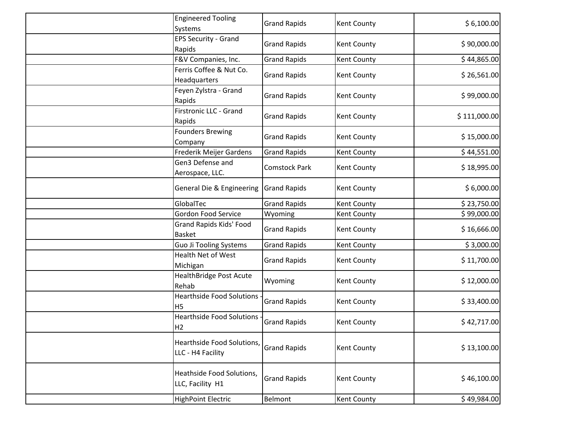| <b>Engineered Tooling</b><br>Systems               | <b>Grand Rapids</b>  | Kent County        | \$6,100.00   |
|----------------------------------------------------|----------------------|--------------------|--------------|
| <b>EPS Security - Grand</b><br>Rapids              | <b>Grand Rapids</b>  | Kent County        | \$90,000.00  |
| F&V Companies, Inc.                                | <b>Grand Rapids</b>  | Kent County        | \$44,865.00  |
| Ferris Coffee & Nut Co.<br>Headquarters            | <b>Grand Rapids</b>  | Kent County        | \$26,561.00  |
| Feyen Zylstra - Grand<br>Rapids                    | <b>Grand Rapids</b>  | Kent County        | \$99,000.00  |
| Firstronic LLC - Grand<br>Rapids                   | <b>Grand Rapids</b>  | Kent County        | \$111,000.00 |
| <b>Founders Brewing</b><br>Company                 | <b>Grand Rapids</b>  | Kent County        | \$15,000.00  |
| Frederik Meijer Gardens                            | <b>Grand Rapids</b>  | Kent County        | \$44,551.00  |
| Gen3 Defense and<br>Aerospace, LLC.                | <b>Comstock Park</b> | Kent County        | \$18,995.00  |
| General Die & Engineering                          | <b>Grand Rapids</b>  | Kent County        | \$6,000.00   |
| GlobalTec                                          | <b>Grand Rapids</b>  | Kent County        | \$23,750.00  |
| <b>Gordon Food Service</b>                         | Wyoming              | Kent County        | \$99,000.00  |
| Grand Rapids Kids' Food<br><b>Basket</b>           | <b>Grand Rapids</b>  | Kent County        | \$16,666.00  |
| <b>Guo Ji Tooling Systems</b>                      | <b>Grand Rapids</b>  | Kent County        | \$3,000.00   |
| Health Net of West<br>Michigan                     | <b>Grand Rapids</b>  | Kent County        | \$11,700.00  |
| <b>HealthBridge Post Acute</b><br>Rehab            | Wyoming              | Kent County        | \$12,000.00  |
| <b>Hearthside Food Solutions</b><br>H <sub>5</sub> | <b>Grand Rapids</b>  | Kent County        | \$33,400.00  |
| <b>Hearthside Food Solutions</b><br>H <sub>2</sub> | <b>Grand Rapids</b>  | Kent County        | \$42,717.00  |
| Hearthside Food Solutions,<br>LLC - H4 Facility    | <b>Grand Rapids</b>  | Kent County        | \$13,100.00  |
| Heathside Food Solutions,<br>LLC, Facility H1      | <b>Grand Rapids</b>  | <b>Kent County</b> | \$46,100.00  |
| <b>HighPoint Electric</b>                          | Belmont              | Kent County        | \$49,984.00  |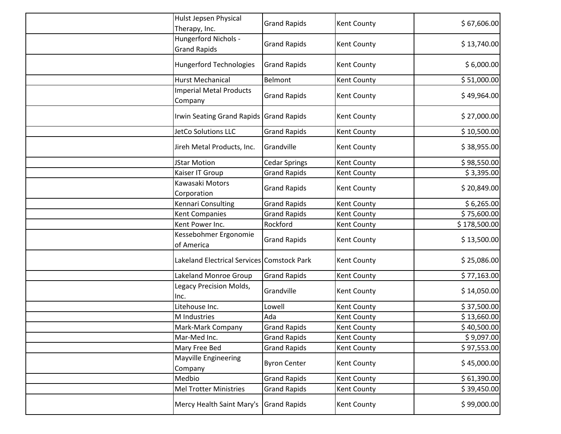| <b>Hulst Jepsen Physical</b><br>Therapy, Inc. | <b>Grand Rapids</b>  | <b>Kent County</b> | \$67,606.00  |
|-----------------------------------------------|----------------------|--------------------|--------------|
| Hungerford Nichols -<br><b>Grand Rapids</b>   | <b>Grand Rapids</b>  | Kent County        | \$13,740.00  |
| <b>Hungerford Technologies</b>                | <b>Grand Rapids</b>  | Kent County        | \$6,000.00   |
| <b>Hurst Mechanical</b>                       | Belmont              | Kent County        | \$51,000.00  |
| <b>Imperial Metal Products</b><br>Company     | <b>Grand Rapids</b>  | <b>Kent County</b> | \$49,964.00  |
| Irwin Seating Grand Rapids Grand Rapids       |                      | <b>Kent County</b> | \$27,000.00  |
| JetCo Solutions LLC                           | <b>Grand Rapids</b>  | Kent County        | \$10,500.00  |
| Jireh Metal Products, Inc.                    | Grandville           | Kent County        | \$38,955.00  |
| JStar Motion                                  | <b>Cedar Springs</b> | Kent County        | \$98,550.00  |
| Kaiser IT Group                               | <b>Grand Rapids</b>  | Kent County        | \$3,395.00   |
| Kawasaki Motors<br>Corporation                | <b>Grand Rapids</b>  | Kent County        | \$20,849.00  |
| Kennari Consulting                            | <b>Grand Rapids</b>  | Kent County        | \$6,265.00   |
| <b>Kent Companies</b>                         | <b>Grand Rapids</b>  | Kent County        | \$75,600.00  |
| Kent Power Inc.                               | Rockford             | Kent County        | \$178,500.00 |
| Kessebohmer Ergonomie<br>of America           | <b>Grand Rapids</b>  | Kent County        | \$13,500.00  |
| Lakeland Electrical Services Comstock Park    |                      | Kent County        | \$25,086.00  |
| Lakeland Monroe Group                         | <b>Grand Rapids</b>  | Kent County        | \$77,163.00  |
| Legacy Precision Molds,<br>Inc.               | Grandville           | <b>Kent County</b> | \$14,050.00  |
| Litehouse Inc.                                | Lowell               | Kent County        | \$37,500.00  |
| M Industries                                  | Ada                  | Kent County        | \$13,660.00  |
| Mark-Mark Company                             | <b>Grand Rapids</b>  | <b>Kent County</b> | \$40,500.00  |
| Mar-Med Inc.                                  | <b>Grand Rapids</b>  | <b>Kent County</b> | \$9,097.00   |
| Mary Free Bed                                 | <b>Grand Rapids</b>  | Kent County        | \$97,553.00  |
| <b>Mayville Engineering</b><br>Company        | <b>Byron Center</b>  | <b>Kent County</b> | \$45,000.00  |
| Medbio                                        | <b>Grand Rapids</b>  | Kent County        | \$61,390.00  |
| <b>Mel Trotter Ministries</b>                 | <b>Grand Rapids</b>  | Kent County        | \$39,450.00  |
| Mercy Health Saint Mary's                     | <b>Grand Rapids</b>  | <b>Kent County</b> | \$99,000.00  |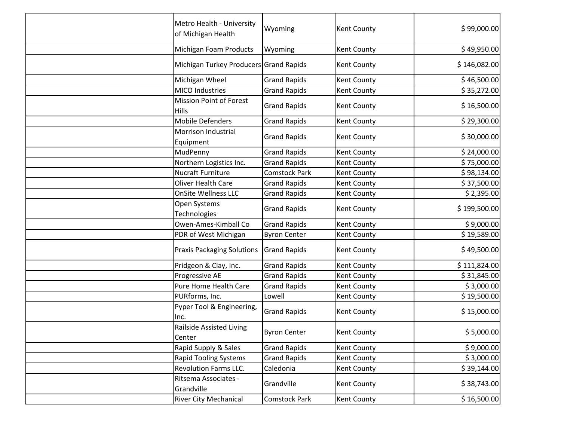| Metro Health - University<br>of Michigan Health | Wyoming              | Kent County        | \$99,000.00  |
|-------------------------------------------------|----------------------|--------------------|--------------|
| Michigan Foam Products                          | Wyoming              | Kent County        | \$49,950.00  |
| Michigan Turkey Producers Grand Rapids          |                      | Kent County        | \$146,082.00 |
| Michigan Wheel                                  | <b>Grand Rapids</b>  | Kent County        | \$46,500.00  |
| <b>MICO Industries</b>                          | <b>Grand Rapids</b>  | Kent County        | \$35,272.00  |
| <b>Mission Point of Forest</b><br><b>Hills</b>  | <b>Grand Rapids</b>  | Kent County        | \$16,500.00  |
| <b>Mobile Defenders</b>                         | <b>Grand Rapids</b>  | Kent County        | \$29,300.00  |
| Morrison Industrial<br>Equipment                | <b>Grand Rapids</b>  | Kent County        | \$30,000.00  |
| MudPenny                                        | <b>Grand Rapids</b>  | Kent County        | \$24,000.00  |
| Northern Logistics Inc.                         | <b>Grand Rapids</b>  | Kent County        | \$75,000.00  |
| <b>Nucraft Furniture</b>                        | <b>Comstock Park</b> | Kent County        | \$98,134.00  |
| Oliver Health Care                              | <b>Grand Rapids</b>  | Kent County        | \$37,500.00  |
| <b>OnSite Wellness LLC</b>                      | <b>Grand Rapids</b>  | Kent County        | \$2,395.00   |
| Open Systems<br>Technologies                    | <b>Grand Rapids</b>  | Kent County        | \$199,500.00 |
| Owen-Ames-Kimball Co                            | <b>Grand Rapids</b>  | Kent County        | \$9,000.00   |
| PDR of West Michigan                            | <b>Byron Center</b>  | Kent County        | \$19,589.00  |
| <b>Praxis Packaging Solutions</b>               | <b>Grand Rapids</b>  | Kent County        | \$49,500.00  |
| Pridgeon & Clay, Inc.                           | <b>Grand Rapids</b>  | Kent County        | \$111,824.00 |
| Progressive AE                                  | <b>Grand Rapids</b>  | Kent County        | \$31,845.00  |
| Pure Home Health Care                           | <b>Grand Rapids</b>  | Kent County        | \$3,000.00   |
| PURforms, Inc.                                  | Lowell               | Kent County        | \$19,500.00  |
| Pyper Tool & Engineering,<br>Inc.               | <b>Grand Rapids</b>  | Kent County        | \$15,000.00  |
| Railside Assisted Living<br>Center              | <b>Byron Center</b>  | <b>Kent County</b> | \$5,000.00   |
| Rapid Supply & Sales                            | <b>Grand Rapids</b>  | Kent County        | \$9,000.00   |
| <b>Rapid Tooling Systems</b>                    | <b>Grand Rapids</b>  | Kent County        | \$3,000.00   |
| <b>Revolution Farms LLC.</b>                    | Caledonia            | Kent County        | \$39,144.00  |
| Ritsema Associates -<br>Grandville              | Grandville           | Kent County        | \$38,743.00  |
| <b>River City Mechanical</b>                    | <b>Comstock Park</b> | Kent County        | \$16,500.00  |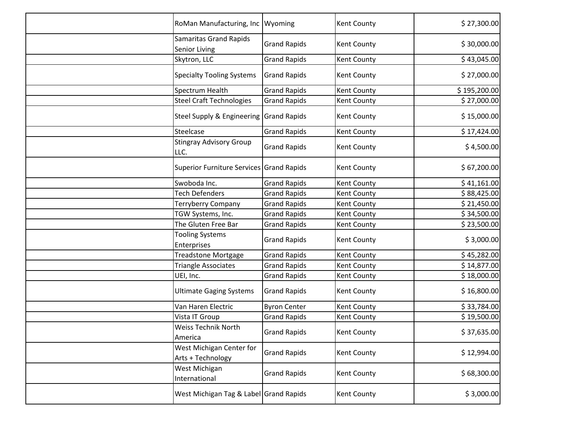| RoMan Manufacturing, Inc                              | Wyoming             | Kent County        | \$27,300.00  |
|-------------------------------------------------------|---------------------|--------------------|--------------|
| <b>Samaritas Grand Rapids</b><br><b>Senior Living</b> | <b>Grand Rapids</b> | <b>Kent County</b> | \$30,000.00  |
| Skytron, LLC                                          | <b>Grand Rapids</b> | Kent County        | \$43,045.00  |
| <b>Specialty Tooling Systems</b>                      | <b>Grand Rapids</b> | Kent County        | \$27,000.00  |
| Spectrum Health                                       | <b>Grand Rapids</b> | Kent County        | \$195,200.00 |
| <b>Steel Craft Technologies</b>                       | <b>Grand Rapids</b> | Kent County        | \$27,000.00  |
| <b>Steel Supply &amp; Engineering</b>                 | <b>Grand Rapids</b> | Kent County        | \$15,000.00  |
| Steelcase                                             | <b>Grand Rapids</b> | Kent County        | \$17,424.00  |
| <b>Stingray Advisory Group</b><br>LLC.                | <b>Grand Rapids</b> | <b>Kent County</b> | \$4,500.00   |
| Superior Furniture Services Grand Rapids              |                     | Kent County        | \$67,200.00  |
| Swoboda Inc.                                          | <b>Grand Rapids</b> | Kent County        | \$41,161.00  |
| <b>Tech Defenders</b>                                 | <b>Grand Rapids</b> | Kent County        | \$88,425.00  |
| <b>Terryberry Company</b>                             | <b>Grand Rapids</b> | Kent County        | \$21,450.00  |
| TGW Systems, Inc.                                     | <b>Grand Rapids</b> | Kent County        | \$34,500.00  |
| The Gluten Free Bar                                   | <b>Grand Rapids</b> | Kent County        | \$23,500.00  |
| <b>Tooling Systems</b><br>Enterprises                 | <b>Grand Rapids</b> | <b>Kent County</b> | \$3,000.00   |
| <b>Treadstone Mortgage</b>                            | <b>Grand Rapids</b> | Kent County        | \$45,282.00  |
| <b>Triangle Associates</b>                            | <b>Grand Rapids</b> | Kent County        | \$14,877.00  |
| UEI, Inc.                                             | <b>Grand Rapids</b> | Kent County        | \$18,000.00  |
| <b>Ultimate Gaging Systems</b>                        | <b>Grand Rapids</b> | <b>Kent County</b> | \$16,800.00  |
| Van Haren Electric                                    | <b>Byron Center</b> | Kent County        | \$33,784.00  |
| Vista IT Group                                        | <b>Grand Rapids</b> | Kent County        | \$19,500.00  |
| <b>Weiss Technik North</b><br>America                 | <b>Grand Rapids</b> | <b>Kent County</b> | \$37,635.00  |
| West Michigan Center for<br>Arts + Technology         | <b>Grand Rapids</b> | <b>Kent County</b> | \$12,994.00  |
| West Michigan<br>International                        | <b>Grand Rapids</b> | <b>Kent County</b> | \$68,300.00  |
| West Michigan Tag & Label Grand Rapids                |                     | <b>Kent County</b> | \$3,000.00   |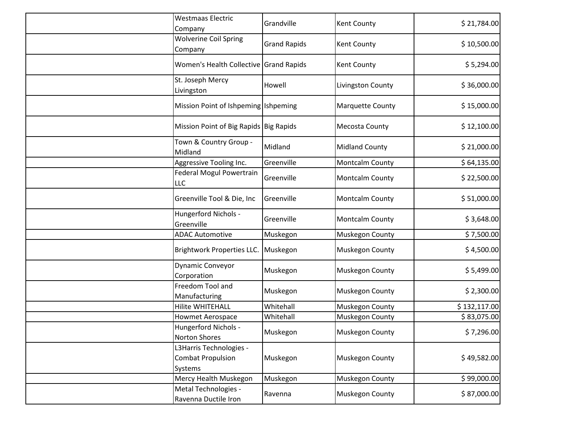| <b>Westmaas Electric</b><br>Company                            | Grandville                             | <b>Kent County</b>      | \$21,784.00  |
|----------------------------------------------------------------|----------------------------------------|-------------------------|--------------|
| <b>Wolverine Coil Spring</b><br>Company                        | <b>Grand Rapids</b>                    | <b>Kent County</b>      | \$10,500.00  |
|                                                                | Women's Health Collective Grand Rapids | <b>Kent County</b>      | \$5,294.00   |
| St. Joseph Mercy<br>Livingston                                 | Howell                                 | Livingston County       | \$36,000.00  |
|                                                                | Mission Point of Ishpeming Ishpeming   | <b>Marquette County</b> | \$15,000.00  |
|                                                                | Mission Point of Big Rapids Big Rapids | <b>Mecosta County</b>   | \$12,100.00  |
| Town & Country Group -<br>Midland                              | Midland                                | <b>Midland County</b>   | \$21,000.00  |
| Aggressive Tooling Inc.                                        | Greenville                             | Montcalm County         | \$64,135.00  |
| Federal Mogul Powertrain<br>LLC                                | Greenville                             | Montcalm County         | \$22,500.00  |
| Greenville Tool & Die, Inc                                     | Greenville                             | Montcalm County         | \$51,000.00  |
| Hungerford Nichols -<br>Greenville                             | Greenville                             | Montcalm County         | \$3,648.00   |
| <b>ADAC Automotive</b>                                         | Muskegon                               | Muskegon County         | \$7,500.00   |
| Brightwork Properties LLC.                                     | Muskegon                               | Muskegon County         | \$4,500.00   |
| Dynamic Conveyor<br>Corporation                                | Muskegon                               | Muskegon County         | \$5,499.00   |
| Freedom Tool and<br>Manufacturing                              | Muskegon                               | Muskegon County         | \$2,300.00   |
| Hilite WHITEHALL                                               | Whitehall                              | Muskegon County         | \$132,117.00 |
| <b>Howmet Aerospace</b>                                        | Whitehall                              | Muskegon County         | \$83,075.00  |
| Hungerford Nichols -<br><b>Norton Shores</b>                   | Muskegon                               | Muskegon County         | \$7,296.00   |
| L3Harris Technologies -<br><b>Combat Propulsion</b><br>Systems | Muskegon                               | Muskegon County         | \$49,582.00  |
| Mercy Health Muskegon                                          | Muskegon                               | Muskegon County         | \$99,000.00  |
| Metal Technologies -<br>Ravenna Ductile Iron                   | Ravenna                                | Muskegon County         | \$87,000.00  |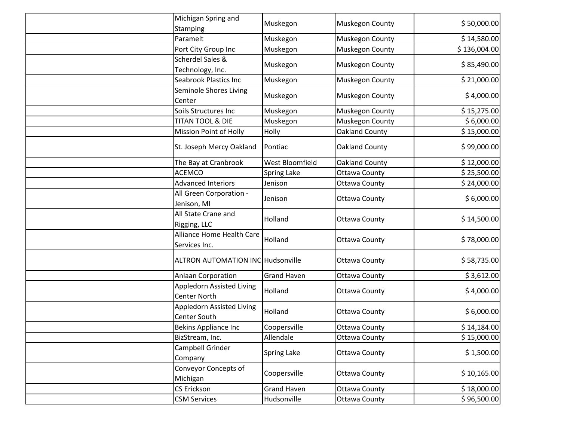| Michigan Spring and<br>Stamping            | Muskegon           | Muskegon County       | \$50,000.00  |
|--------------------------------------------|--------------------|-----------------------|--------------|
| Paramelt                                   | Muskegon           | Muskegon County       | \$14,580.00  |
| Port City Group Inc                        | Muskegon           | Muskegon County       | \$136,004.00 |
| Scherdel Sales &<br>Technology, Inc.       | Muskegon           | Muskegon County       | \$85,490.00  |
| <b>Seabrook Plastics Inc</b>               | Muskegon           | Muskegon County       | \$21,000.00  |
| Seminole Shores Living<br>Center           | Muskegon           | Muskegon County       | \$4,000.00   |
| Soils Structures Inc                       | Muskegon           | Muskegon County       | \$15,275.00  |
| TITAN TOOL & DIE                           | Muskegon           | Muskegon County       | \$6,000.00   |
| <b>Mission Point of Holly</b>              | Holly              | Oakland County        | \$15,000.00  |
| St. Joseph Mercy Oakland                   | Pontiac            | <b>Oakland County</b> | \$99,000.00  |
| The Bay at Cranbrook                       | West Bloomfield    | Oakland County        | \$12,000.00  |
| <b>ACEMCO</b>                              | <b>Spring Lake</b> | <b>Ottawa County</b>  | \$25,500.00  |
| <b>Advanced Interiors</b>                  | Jenison            | Ottawa County         | \$24,000.00  |
| All Green Corporation -<br>Jenison, MI     | Jenison            | <b>Ottawa County</b>  | \$6,000.00   |
| All State Crane and<br>Rigging, LLC        | Holland            | <b>Ottawa County</b>  | \$14,500.00  |
| Alliance Home Health Care<br>Services Inc. | Holland            | <b>Ottawa County</b>  | \$78,000.00  |
| <b>ALTRON AUTOMATION INC Hudsonville</b>   |                    | <b>Ottawa County</b>  | \$58,735.00  |
| Anlaan Corporation                         | <b>Grand Haven</b> | <b>Ottawa County</b>  | \$3,612.00   |
| Appledorn Assisted Living<br>Center North  | Holland            | <b>Ottawa County</b>  | \$4,000.00   |
| Appledorn Assisted Living<br>Center South  | Holland            | <b>Ottawa County</b>  | \$6,000.00   |
| <b>Bekins Appliance Inc</b>                | Coopersville       | <b>Ottawa County</b>  | \$14,184.00  |
| BizStream, Inc.                            | Allendale          | <b>Ottawa County</b>  | \$15,000.00  |
| Campbell Grinder<br>Company                | Spring Lake        | <b>Ottawa County</b>  | \$1,500.00   |
| Conveyor Concepts of<br>Michigan           | Coopersville       | <b>Ottawa County</b>  | \$10,165.00  |
| <b>CS Erickson</b>                         | <b>Grand Haven</b> | <b>Ottawa County</b>  | \$18,000.00  |
| <b>CSM Services</b>                        | Hudsonville        | <b>Ottawa County</b>  | \$96,500.00  |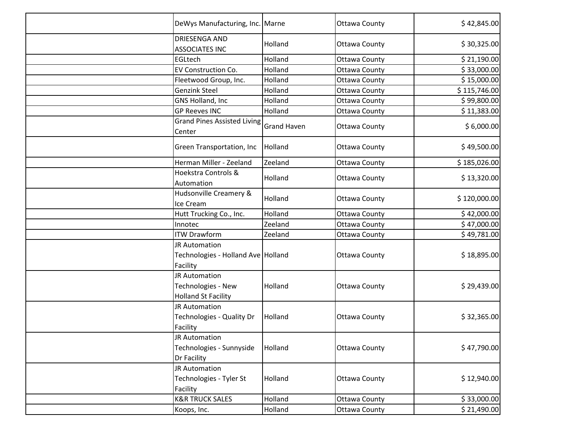| DeWys Manufacturing, Inc. Marne                                          |                    | <b>Ottawa County</b> | \$42,845.00  |
|--------------------------------------------------------------------------|--------------------|----------------------|--------------|
| DRIESENGA AND<br><b>ASSOCIATES INC</b>                                   | Holland            | <b>Ottawa County</b> | \$30,325.00  |
| EGLtech                                                                  | Holland            | <b>Ottawa County</b> | \$21,190.00  |
| EV Construction Co.                                                      | Holland            | <b>Ottawa County</b> | \$33,000.00  |
| Fleetwood Group, Inc.                                                    | Holland            | <b>Ottawa County</b> | \$15,000.00  |
| <b>Genzink Steel</b>                                                     | Holland            | <b>Ottawa County</b> | \$115,746.00 |
| GNS Holland, Inc                                                         | Holland            | <b>Ottawa County</b> | \$99,800.00  |
| <b>GP Reeves INC</b>                                                     | Holland            | <b>Ottawa County</b> | \$11,383.00  |
| <b>Grand Pines Assisted Living</b><br>Center                             | <b>Grand Haven</b> | <b>Ottawa County</b> | \$6,000.00   |
| Green Transportation, Inc                                                | Holland            | <b>Ottawa County</b> | \$49,500.00  |
| Herman Miller - Zeeland                                                  | Zeeland            | <b>Ottawa County</b> | \$185,026.00 |
| Hoekstra Controls &<br>Automation                                        | Holland            | <b>Ottawa County</b> | \$13,320.00  |
| Hudsonville Creamery &<br>Ice Cream                                      | Holland            | <b>Ottawa County</b> | \$120,000.00 |
| Hutt Trucking Co., Inc.                                                  | Holland            | <b>Ottawa County</b> | \$42,000.00  |
| Innotec                                                                  | Zeeland            | <b>Ottawa County</b> | \$47,000.00  |
| <b>ITW Drawform</b>                                                      | Zeeland            | <b>Ottawa County</b> | \$49,781.00  |
| JR Automation<br>Technologies - Holland Ave Holland<br>Facility          |                    | <b>Ottawa County</b> | \$18,895.00  |
| <b>JR Automation</b><br>Technologies - New<br><b>Holland St Facility</b> | Holland            | <b>Ottawa County</b> | \$29,439.00  |
| JR Automation<br>Technologies - Quality Dr<br>Facility                   | Holland            | <b>Ottawa County</b> | \$32,365.00  |
| JR Automation<br>Technologies - Sunnyside<br>Dr Facility                 | Holland            | <b>Ottawa County</b> | \$47,790.00  |
| JR Automation<br>Technologies - Tyler St<br>Facility                     | Holland            | <b>Ottawa County</b> | \$12,940.00  |
| <b>K&amp;R TRUCK SALES</b>                                               | Holland            | <b>Ottawa County</b> | \$33,000.00  |
| Koops, Inc.                                                              | Holland            | <b>Ottawa County</b> | \$21,490.00  |
|                                                                          |                    |                      |              |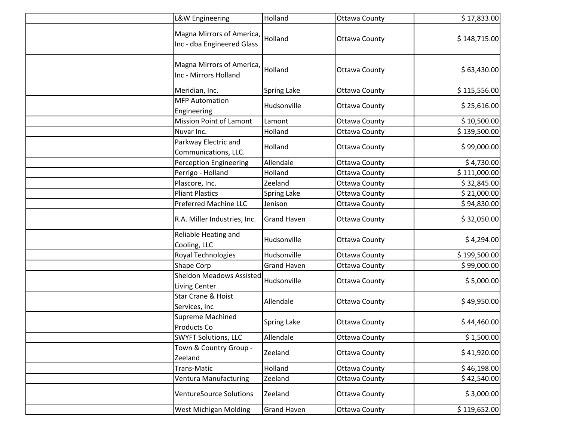|                | L&W Engineering                                         | Holland            | <b>Ottawa County</b> | \$17,833.00  |
|----------------|---------------------------------------------------------|--------------------|----------------------|--------------|
|                | Magna Mirrors of America,<br>Inc - dba Engineered Glass | Holland            | <b>Ottawa County</b> | \$148,715.00 |
|                | Magna Mirrors of America,<br>Inc - Mirrors Holland      | Holland            | <b>Ottawa County</b> | \$63,430.00  |
|                | Meridian, Inc.                                          | <b>Spring Lake</b> | <b>Ottawa County</b> | \$115,556.00 |
| Engineering    | <b>MFP Automation</b>                                   | Hudsonville        | <b>Ottawa County</b> | \$25,616.00  |
|                | <b>Mission Point of Lamont</b>                          | Lamont             | <b>Ottawa County</b> | \$10,500.00  |
| Nuvar Inc.     |                                                         | Holland            | <b>Ottawa County</b> | \$139,500.00 |
|                | Parkway Electric and<br>Communications, LLC.            | Holland            | <b>Ottawa County</b> | \$99,000.00  |
|                | <b>Perception Engineering</b>                           | Allendale          | <b>Ottawa County</b> | \$4,730.00   |
|                | Perrigo - Holland                                       | Holland            | <b>Ottawa County</b> | \$111,000.00 |
| Plascore, Inc. |                                                         | Zeeland            | <b>Ottawa County</b> | \$32,845.00  |
|                | <b>Pliant Plastics</b>                                  | Spring Lake        | <b>Ottawa County</b> | \$21,000.00  |
|                | Preferred Machine LLC                                   | Jenison            | <b>Ottawa County</b> | \$94,830.00  |
|                | R.A. Miller Industries, Inc.                            | <b>Grand Haven</b> | <b>Ottawa County</b> | \$32,050.00  |
| Cooling, LLC   | Reliable Heating and                                    | Hudsonville        | <b>Ottawa County</b> | \$4,294.00   |
|                | Royal Technologies                                      | Hudsonville        | <b>Ottawa County</b> | \$199,500.00 |
| Shape Corp     |                                                         | <b>Grand Haven</b> | <b>Ottawa County</b> | \$99,000.00  |
|                | <b>Sheldon Meadows Assisted</b><br><b>Living Center</b> | Hudsonville        | <b>Ottawa County</b> | \$5,000.00   |
| Services, Inc  | Star Crane & Hoist                                      | Allendale          | <b>Ottawa County</b> | \$49,950.00  |
| Products Co    | Supreme Machined                                        | <b>Spring Lake</b> | <b>Ottawa County</b> | \$44,460.00  |
|                | <b>SWYFT Solutions, LLC</b>                             | Allendale          | <b>Ottawa County</b> | \$1,500.00   |
| Zeeland        | Town & Country Group -                                  | Zeeland            | <b>Ottawa County</b> | \$41,920.00  |
| Trans-Matic    |                                                         | Holland            | <b>Ottawa County</b> | \$46,198.00  |
|                | Ventura Manufacturing                                   | Zeeland            | <b>Ottawa County</b> | \$42,540.00  |
|                | <b>VentureSource Solutions</b>                          | Zeeland            | <b>Ottawa County</b> | \$3,000.00   |
|                | West Michigan Molding                                   | <b>Grand Haven</b> | <b>Ottawa County</b> | \$119,652.00 |